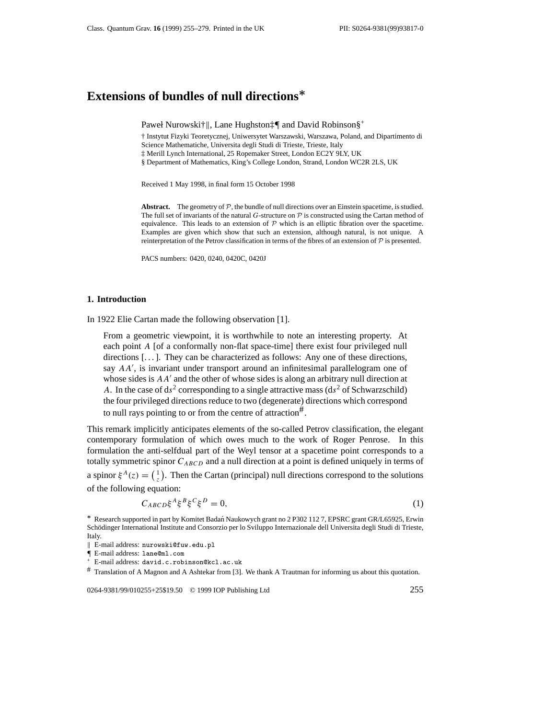# **Extensions of bundles of null directions***∗*

Paweł Nurowski†||, Lane Hughston‡¶ and David Robinson§<sup>+</sup>

† Instytut Fizyki Teoretycznej, Uniwersytet Warszawski, Warszawa, Poland, and Dipartimento di Science Mathematiche, Universita degli Studi di Trieste, Trieste, Italy

‡ Merill Lynch International, 25 Ropemaker Street, London EC2Y 9LY, UK

§ Department of Mathematics, King's College London, Strand, London WC2R 2LS, UK

Received 1 May 1998, in final form 15 October 1998

**Abstract.** The geometry of  $P$ , the bundle of null directions over an Einstein spacetime, is studied. The full set of invariants of the natural *G*-structure on *P* is constructed using the Cartan method of equivalence. This leads to an extension of *P* which is an elliptic fibration over the spacetime. Examples are given which show that such an extension, although natural, is not unique. A reinterpretation of the Petrov classification in terms of the fibres of an extension of *P* is presented.

PACS numbers: 0420, 0240, 0420C, 0420J

#### **1. Introduction**

In 1922 Elie Cartan made the following observation [1].

From a geometric viewpoint, it is worthwhile to note an interesting property. At each point *A* [of a conformally non-flat space-time] there exist four privileged null directions [...]. They can be characterized as follows: Any one of these directions, say  $AA'$ , is invariant under transport around an infinitesimal parallelogram one of whose sides is  $AA'$  and the other of whose sides is along an arbitrary null direction at *A*. In the case of  $ds^2$  corresponding to a single attractive mass  $(ds^2$  of Schwarzschild) the four privileged directions reduce to two (degenerate) directions which correspond to null rays pointing to or from the centre of attraction $\mathbf{F}$ .

This remark implicitly anticipates elements of the so-called Petrov classification, the elegant contemporary formulation of which owes much to the work of Roger Penrose. In this formulation the anti-selfdual part of the Weyl tensor at a spacetime point corresponds to a totally symmetric spinor *CABCD* and a null direction at a point is defined uniquely in terms of a spinor  $\xi^A(z) = \begin{pmatrix} 1 \\ z \end{pmatrix}$ . Then the Cartan (principal) null directions correspond to the solutions of the following equation:

$$
C_{ABCD}\xi^A\xi^B\xi^C\xi^D = 0,\tag{1}
$$

# Translation of A Magnon and A Ashtekar from [3]. We thank A Trautman for informing us about this quotation.

0264-9381/99/010255+25\$19.50 © 1999 IOP Publishing Ltd 255

*<sup>∗</sup>* Research supported in part by Komitet Badan Naukowych grant no 2 P302 112 7, EPSRC grant GR/L65925, Erwin ´ Schödinger International Institute and Consorzio per lo Sviluppo Internazionale dell Universita degli Studi di Trieste, Italy.

<sup>||</sup> E-mail address: nurowski@fuw.edu.pl<br>|| E-mail address: lane@ml.com

<sup>&</sup>lt;sup>+</sup> E-mail address: david.c.robinson@kcl.ac.uk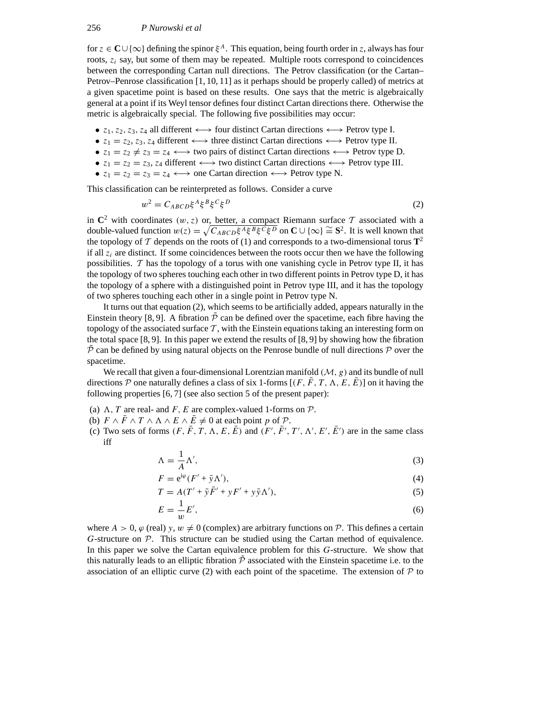for  $z \in \mathbb{C} \cup \{\infty\}$  defining the spinor  $\xi^A$ . This equation, being fourth order in *z*, always has four roots, *zi* say, but some of them may be repeated. Multiple roots correspond to coincidences between the corresponding Cartan null directions. The Petrov classification (or the Cartan– Petrov–Penrose classification [1, 10, 11] as it perhaps should be properly called) of metrics at a given spacetime point is based on these results. One says that the metric is algebraically general at a point if its Weyl tensor defines four distinct Cartan directions there. Otherwise the metric is algebraically special. The following five possibilities may occur:

- *z*1*, z*2*, z*3*, z*<sup>4</sup> all different ←→ four distinct Cartan directions ←→ Petrov type I.
- $z_1 = z_2, z_3, z_4$  different  $\longleftrightarrow$  three distinct Cartan directions  $\longleftrightarrow$  Petrov type II.
- $z_1 = z_2 \neq z_3 = z_4 \longleftrightarrow$  two pairs of distinct Cartan directions  $\longleftrightarrow$  Petrov type D.
- $z_1 = z_2 = z_3$ ,  $z_4$  different  $\longleftrightarrow$  two distinct Cartan directions  $\longleftrightarrow$  Petrov type III.
- $z_1 = z_2 = z_3 = z_4 \leftrightarrow$  one Cartan direction  $\longleftrightarrow$  Petrov type N.

This classification can be reinterpreted as follows. Consider a curve

$$
w^2 = C_{ABCD} \xi^A \xi^B \xi^C \xi^D \tag{2}
$$

in  $\mathbb{C}^2$  with coordinates  $(w, z)$  or, better, a compact Riemann surface  $\mathcal T$  associated with a double-valued function  $w(z) = \sqrt{C_{ABCD}\xi^A \xi^B \xi^C \xi^D}$  on **C** ∪ {∞}  $\cong$  **S**<sup>2</sup>. It is well known that the topology of  $\mathcal T$  depends on the roots of (1) and corresponds to a two-dimensional torus  $\mathbf T^2$ if all  $z_i$  are distinct. If some coincidences between the roots occur then we have the following possibilities.  $T$  has the topology of a torus with one vanishing cycle in Petrov type II, it has the topology of two spheres touching each other in two different points in Petrov type D, it has the topology of a sphere with a distinguished point in Petrov type III, and it has the topology of two spheres touching each other in a single point in Petrov type N.

It turns out that equation (2), which seems to be artificially added, appears naturally in the Einstein theory [8, 9]. A fibration  $\tilde{P}$  can be defined over the spacetime, each fibre having the topology of the associated surface  $\mathcal T$ , with the Einstein equations taking an interesting form on the total space  $[8, 9]$ . In this paper we extend the results of  $[8, 9]$  by showing how the fibration  $\mathcal P$  can be defined by using natural objects on the Penrose bundle of null directions  $\mathcal P$  over the spacetime.

We recall that given a four-dimensional Lorentzian manifold *(M, g)* and its bundle of null directions  $P$  one naturally defines a class of six 1-forms  $[(F, F, T, \Lambda, E, E)]$  on it having the following properties [6, 7] (see also section 5 of the present paper):

- (a)  $\Lambda$ , *T* are real- and *F*, *E* are complex-valued 1-forms on  $\mathcal{P}$ .
- (b)  $F \wedge \overline{F} \wedge T \wedge \overline{A} \wedge \overline{E} \wedge \overline{E} \neq 0$  at each point p of  $\mathcal{P}$ .
- (c) Two sets of forms  $(F, \bar{F}, T, \Lambda, E, \bar{E})$  and  $(F', \bar{F}', T', \Lambda', E', \bar{E}')$  are in the same class iff

$$
\Lambda = \frac{1}{A} \Lambda',\tag{3}
$$

$$
F = e^{i\varphi} (F' + \bar{y} \Lambda'), \tag{4}
$$

$$
T = A(T' + \bar{y}\bar{F}' + yF' + y\bar{y}\Lambda'),\tag{5}
$$

$$
E = \frac{1}{w}E',\tag{6}
$$

where  $A > 0$ ,  $\varphi$  (real)  $y, w \neq 0$  (complex) are arbitrary functions on  $P$ . This defines a certain *G*-structure on *P*. This structure can be studied using the Cartan method of equivalence. In this paper we solve the Cartan equivalence problem for this *G*-structure. We show that this naturally leads to an elliptic fibration  $\mathcal P$  associated with the Einstein spacetime i.e. to the association of an elliptic curve (2) with each point of the spacetime. The extension of  $P$  to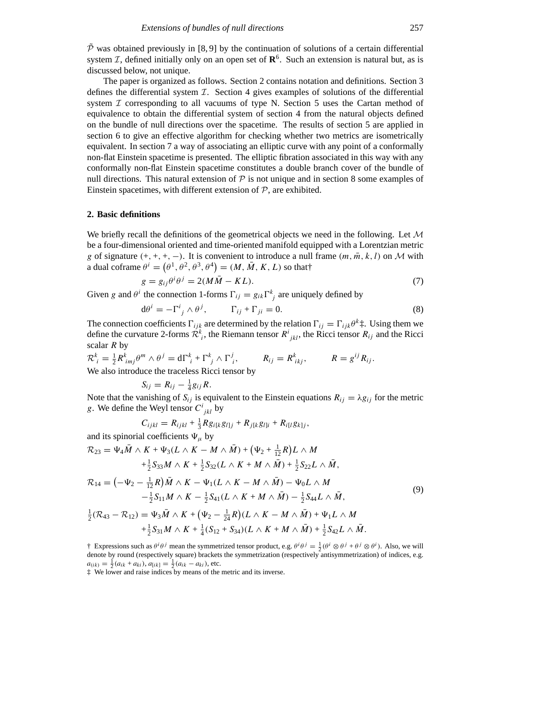$\overline{P}$  was obtained previously in [8, 9] by the continuation of solutions of a certain differential system *I*, defined initially only on an open set of  $\mathbb{R}^6$ . Such an extension is natural but, as is discussed below, not unique.

The paper is organized as follows. Section 2 contains notation and definitions. Section 3 defines the differential system *I*. Section 4 gives examples of solutions of the differential system *I* corresponding to all vacuums of type N. Section 5 uses the Cartan method of equivalence to obtain the differential system of section 4 from the natural objects defined on the bundle of null directions over the spacetime. The results of section 5 are applied in section 6 to give an effective algorithm for checking whether two metrics are isometrically equivalent. In section 7 a way of associating an elliptic curve with any point of a conformally non-flat Einstein spacetime is presented. The elliptic fibration associated in this way with any conformally non-flat Einstein spacetime constitutes a double branch cover of the bundle of null directions. This natural extension of  $P$  is not unique and in section 8 some examples of Einstein spacetimes, with different extension of *P*, are exhibited.

#### **2. Basic definitions**

We briefly recall the definitions of the geometrical objects we need in the following. Let *M* be a four-dimensional oriented and time-oriented manifold equipped with a Lorentzian metric *g* of signature  $(+, +, +, -)$ . It is convenient to introduce a null frame  $(m, \overline{m}, k, l)$  on *M* with a dual coframe  $\theta^i = (\theta^1, \theta^2, \theta^3, \theta^4) = (M, \overline{M}, K, L)$  so that  $\dagger$ 

$$
g = g_{ij}\theta^i \theta^j = 2(M\overline{M} - KL). \tag{7}
$$

Given *g* and  $\theta^i$  the connection 1-forms  $\Gamma_{ij} = g_{ik} \Gamma^k_{j}$  are uniquely defined by

$$
d\theta^{i} = -\Gamma^{i}_{j} \wedge \theta^{j}, \qquad \Gamma_{ij} + \Gamma_{ji} = 0.
$$
 (8)

The connection coefficients  $\Gamma_{ijk}$  are determined by the relation  $\Gamma_{ij} = \Gamma_{ijk} \theta^k \ddagger$ . Using them we define the curvature 2-forms  $\mathcal{R}^k_i$ , the Riemann tensor  $R^i_{jkl}$ , the Ricci tensor  $R_{ij}$  and the Ricci scalar *R* by

$$
\mathcal{R}_{i}^{k} = \frac{1}{2} R_{imj}^{k} \theta^{m} \wedge \theta^{j} = d\Gamma_{i}^{k} + \Gamma_{j}^{k} \wedge \Gamma_{i}^{j}, \qquad R_{ij} = R_{ikj}^{k}, \qquad R = g^{ij} R_{ij}.
$$
  
We also introduce the traceless Ricci tensor by

$$
S_{ij}=R_{ij}-\tfrac{1}{4}g_{ij}R.
$$

Note that the vanishing of  $S_{ij}$  is equivalent to the Einstein equations  $R_{ij} = \lambda g_{ij}$  for the metric *g*. We define the Weyl tensor  $C^i_{jkl}$  by

$$
C_{ijkl} = R_{ijkl} + \frac{1}{3} R g_{i[k} g_{l]j} + R_{j[k} g_{l]i} + R_{i[l} g_{k]j},
$$

and its spinorial coefficients  $\Psi_{\mu}$  by

$$
\mathcal{R}_{23} = \Psi_4 \overline{M} \wedge K + \Psi_3(L \wedge K - M \wedge \overline{M}) + (\Psi_2 + \frac{1}{12}R)L \wedge M
$$
  
 
$$
+ \frac{1}{2}S_{33}M \wedge K + \frac{1}{2}S_{32}(L \wedge K + M \wedge \overline{M}) + \frac{1}{2}S_{22}L \wedge \overline{M},
$$

$$
\mathcal{R}_{14} = \left( -\Psi_2 - \frac{1}{12}R \right) \bar{M} \wedge K - \Psi_1 (L \wedge K - M \wedge \bar{M}) - \Psi_0 L \wedge M \n- \frac{1}{2} S_{11} M \wedge K - \frac{1}{2} S_{41} (L \wedge K + M \wedge \bar{M}) - \frac{1}{2} S_{44} L \wedge \bar{M},
$$
\n(9)

$$
\frac{1}{2}(\mathcal{R}_{43}-\mathcal{R}_{12})=\Psi_3\bar{M}\wedge K+(\Psi_2-\frac{1}{24}R)(L\wedge K-M\wedge\bar{M})+\Psi_1L\wedge M+\frac{1}{2}S_{31}M\wedge K+\frac{1}{4}(S_{12}+S_{34})(L\wedge K+M\wedge\bar{M})+\frac{1}{2}S_{42}L\wedge\bar{M}.
$$

† Expressions such as  $\theta^i \theta^j$  mean the symmetrized tensor product, e.g.  $\theta^i \theta^j = \frac{1}{2} (\theta^i \otimes \theta^j + \theta^j \otimes \theta^i)$ . Also, we will denote by round (respectively square) brackets the symmetrization (respectively antisymmetrization) of indices, e.g.  $a_{(ik)} = \frac{1}{2}(a_{ik} + a_{ki}), a_{[ik]} = \frac{1}{2}(a_{ik} - a_{ki}),$  etc.

‡ We lower and raise indices by means of the metric and its inverse.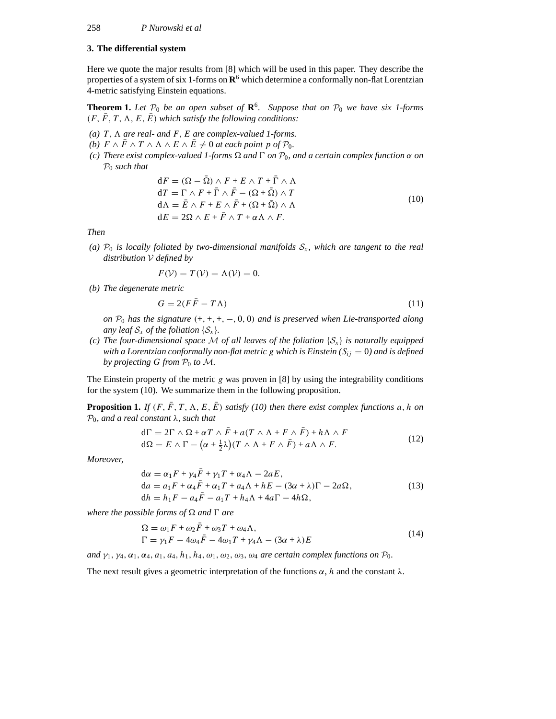# **3. The differential system**

Here we quote the major results from [8] which will be used in this paper. They describe the properties of a system of six 1-forms on **R**<sup>6</sup> which determine a conformally non-flat Lorentzian 4-metric satisfying Einstein equations.

**Theorem 1.** Let  $P_0$  be an open subset of  $\mathbb{R}^6$ . Suppose that on  $P_0$  we have six 1-forms  $(F, \bar{F}, T, \Lambda, E, \bar{E})$  *which satisfy the following conditions:* 

- $(a)$  *T*,  $\Lambda$  *are real- and F*, *E are complex-valued 1-forms.*
- *(b)*  $F \wedge \overline{F} \wedge T \wedge \overline{A} \wedge E \wedge \overline{E} \neq 0$  *at each point*  $p$  *of*  $\mathcal{P}_0$ *.*
- *(c) There exist complex-valued 1-forms and 0 on P*0*, and a certain complex function α on P*<sup>0</sup> *such that*

$$
dF = (\Omega - \bar{\Omega}) \wedge F + E \wedge T + \bar{\Gamma} \wedge \Lambda
$$
  
\n
$$
dT = \Gamma \wedge F + \bar{\Gamma} \wedge \bar{F} - (\Omega + \bar{\Omega}) \wedge T
$$
  
\n
$$
d\Lambda = \bar{E} \wedge F + E \wedge \bar{F} + (\Omega + \bar{\Omega}) \wedge \Lambda
$$
  
\n
$$
dE = 2\Omega \wedge E + \bar{F} \wedge T + \alpha \Lambda \wedge F.
$$
\n(10)

*Then*

(a)  $P_0$  *is locally foliated by two-dimensional manifolds*  $S_x$ *, which are tangent to the real distribution V defined by*

$$
F(\mathcal{V}) = T(\mathcal{V}) = \Lambda(\mathcal{V}) = 0.
$$

*(b) The degenerate metric*

$$
G = 2(F\bar{F} - T\Lambda) \tag{11}
$$

*on P*<sup>0</sup> *has the signature (*+*,* +*,* +*,* −*,* 0*,* 0*) and is preserved when Lie-transported along any leaf*  $S_x$  *of the foliation*  $\{S_x\}$ *.* 

*(c) The four-dimensional space M of all leaves of the foliation* {*S<sup>x</sup>* } *is naturally equipped with a Lorentzian conformally non-flat metric g which is Einstein* ( $S_{ij} = 0$ ) and is defined *by projecting*  $G$  *from*  $P_0$  *to*  $M$ *.* 

The Einstein property of the metric *g* was proven in [8] by using the integrability conditions for the system (10). We summarize them in the following proposition.

**Proposition 1.** *If*  $(F, \overline{F}, T, \Lambda, E, \overline{E})$  *satisfy* (10) then there exist complex functions a, h on *P*0*, and a real constant λ, such that*

$$
d\Gamma = 2\Gamma \wedge \Omega + \alpha T \wedge \bar{F} + a(T \wedge \Lambda + F \wedge \bar{F}) + h\Lambda \wedge F
$$
  
\n
$$
d\Omega = E \wedge \Gamma - (\alpha + \frac{1}{2}\lambda)(T \wedge \Lambda + F \wedge \bar{F}) + a\Lambda \wedge F.
$$
\n(12)

*Moreover,*

$$
d\alpha = \alpha_1 F + \gamma_4 \bar{F} + \gamma_1 T + \alpha_4 \Lambda - 2aE,
$$
  
\n
$$
d\alpha = a_1 F + \alpha_4 \bar{F} + \alpha_1 T + a_4 \Lambda + hE - (3\alpha + \lambda)\Gamma - 2a\Omega,
$$
  
\n
$$
dh = h_1 F - a_4 \bar{F} - a_1 T + h_4 \Lambda + 4a\Gamma - 4h\Omega,
$$
\n(13)

*where the possible forms of*  $\Omega$  *and*  $\Gamma$  *are* 

$$
\Omega = \omega_1 F + \omega_2 \bar{F} + \omega_3 T + \omega_4 \Lambda,
$$
  
\n
$$
\Gamma = \gamma_1 F - 4\omega_4 \bar{F} - 4\omega_1 T + \gamma_4 \Lambda - (3\alpha + \lambda)E
$$
\n(14)

*and γ*1*, γ*4*, α*1*, α*4*, a*1*, a*4*, h*1*, h*4*, ω*1*, ω*2*, ω*3*, ω*<sup>4</sup> *are certain complex functions on P*0*.*

The next result gives a geometric interpretation of the functions  $\alpha$ , *h* and the constant  $\lambda$ .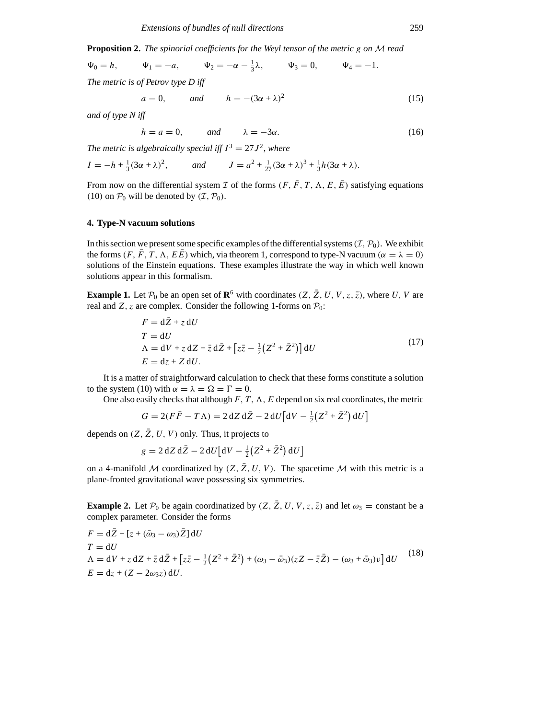**Proposition 2.** *The spinorial coefficients for the Weyl tensor of the metric g on M read*

$$
\Psi_0 = h,
$$
\n $\Psi_1 = -a,$ \n $\Psi_2 = -\alpha - \frac{1}{3}\lambda,$ \n $\Psi_3 = 0,$ \n $\Psi_4 = -1.$ 

*The metric is of Petrov type D iff*

$$
a = 0, \qquad \text{and} \qquad h = -(3\alpha + \lambda)^2 \tag{15}
$$

*and of type N iff*

 $h = a = 0$ , and  $\lambda = -3\alpha$ . (16)

*The metric is algebraically special iff*  $I^3 = 27J^2$ *, where* 

$$
I = -h + \frac{1}{3}(3\alpha + \lambda)^2, \qquad \text{and} \qquad J = a^2 + \frac{1}{27}(3\alpha + \lambda)^3 + \frac{1}{3}h(3\alpha + \lambda).
$$

From now on the differential system *I* of the forms  $(F, \bar{F}, T, \Lambda, E, \bar{E})$  satisfying equations  $(10)$  on  $P_0$  will be denoted by  $(\mathcal{I}, P_0)$ .

# **4. Type-N vacuum solutions**

In this section we present some specific examples of the differential systems  $(\mathcal{I}, \mathcal{P}_0)$ . We exhibit the forms  $(F, \bar{F}, T, \Lambda, E\bar{E})$  which, via theorem 1, correspond to type-N vacuum  $(\alpha = \lambda = 0)$ solutions of the Einstein equations. These examples illustrate the way in which well known solutions appear in this formalism.

**Example 1.** Let  $\mathcal{P}_0$  be an open set of  $\mathbb{R}^6$  with coordinates  $(Z, \bar{Z}, U, V, z, \bar{z})$ , where *U*, *V* are real and *Z*, *z* are complex. Consider the following 1-forms on  $P_0$ :

$$
F = d\bar{Z} + z dU
$$
  
\n
$$
T = dU
$$
  
\n
$$
\Lambda = dV + z dZ + \bar{z} d\bar{Z} + [z\bar{z} - \frac{1}{2}(Z^2 + \bar{Z}^2)] dU
$$
  
\n
$$
E = dz + Z dU.
$$
\n(17)

It is a matter of straightforward calculation to check that these forms constitute a solution to the system (10) with  $\alpha = \lambda = \Omega = \Gamma = 0$ .

One also easily checks that although  $F, T, \Lambda, E$  depend on six real coordinates, the metric

$$
G = 2(F\overline{F} - T\Lambda) = 2 dZ d\overline{Z} - 2 dU \left[ dV - \frac{1}{2} (Z^2 + \overline{Z}^2) dU \right]
$$

depends on  $(Z, \bar{Z}, U, V)$  only. Thus, it projects to

$$
g = 2 dZ d\bar{Z} - 2 dU \big[ dV - \frac{1}{2} (Z^2 + \bar{Z}^2) dU \big]
$$

on a 4-manifold *M* coordinatized by  $(Z, \overline{Z}, U, V)$ . The spacetime *M* with this metric is a plane-fronted gravitational wave possessing six symmetries.

**Example 2.** Let  $\mathcal{P}_0$  be again coordinatized by  $(Z, \bar{Z}, U, V, z, \bar{z})$  and let  $\omega_3$  = constant be a complex parameter. Consider the forms

$$
F = d\overline{Z} + [z + (\overline{\omega}_3 - \omega_3)\overline{Z}] dU
$$
  
\n
$$
T = dU
$$
  
\n
$$
\Lambda = dV + z dZ + \overline{z} d\overline{Z} + [z\overline{z} - \frac{1}{2}(Z^2 + \overline{Z}^2) + (\omega_3 - \overline{\omega}_3)(zZ - \overline{z}\overline{Z}) - (\omega_3 + \overline{\omega}_3)v] dU
$$
\n
$$
E = dz + (Z - 2\omega_3 z) dU.
$$
\n(18)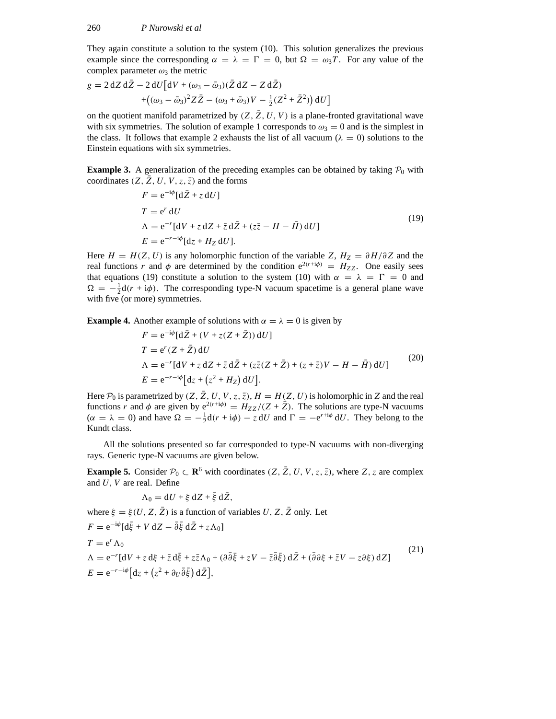They again constitute a solution to the system (10). This solution generalizes the previous example since the corresponding  $\alpha = \lambda = \Gamma = 0$ , but  $\Omega = \omega_3 T$ . For any value of the complex parameter  $\omega_3$  the metric

$$
g = 2 dZ d\bar{Z} - 2 dU [dV + (\omega_3 - \bar{\omega}_3)(\bar{Z} dZ - Z d\bar{Z})
$$
  
+((\omega\_3 - \bar{\omega}\_3)^2 Z\bar{Z} - (\omega\_3 + \bar{\omega}\_3)V - \frac{1}{2}(Z^2 + \bar{Z}^2)) dU]

on the quotient manifold parametrized by  $(Z, \overline{Z}, U, V)$  is a plane-fronted gravitational wave with six symmetries. The solution of example 1 corresponds to  $\omega_3 = 0$  and is the simplest in the class. It follows that example 2 exhausts the list of all vacuum ( $\lambda = 0$ ) solutions to the Einstein equations with six symmetries.

**Example 3.** A generalization of the preceding examples can be obtained by taking  $P_0$  with coordinates  $(Z, Z, U, V, z, \overline{z})$  and the forms

$$
F = e^{-i\phi} [d\bar{Z} + z dU]
$$
  
\n
$$
T = e^{r} dU
$$
  
\n
$$
\Lambda = e^{-r} [dV + z dZ + \bar{z} d\bar{Z} + (z\bar{z} - H - \bar{H}) dU]
$$
  
\n
$$
E = e^{-r - i\phi} [dz + H_{Z} dU].
$$
\n(19)

Here  $H = H(Z, U)$  is any holomorphic function of the variable *Z*,  $H_Z = \partial H/\partial Z$  and the real functions *r* and  $\phi$  are determined by the condition  $e^{2(r+i\phi)} = H_{ZZ}$ . One easily sees that equations (19) constitute a solution to the system (10) with  $\alpha = \lambda = \Gamma = 0$  and  $\Omega = -\frac{1}{2}d(r + i\phi)$ . The corresponding type-N vacuum spacetime is a general plane wave with five (or more) symmetries.

**Example 4.** Another example of solutions with  $\alpha = \lambda = 0$  is given by

$$
F = e^{-i\phi} [d\bar{Z} + (V + z(Z + \bar{Z})) dU]
$$
  
\n
$$
T = e^{r}(Z + \bar{Z}) dU
$$
  
\n
$$
\Lambda = e^{-r} [dV + z dZ + \bar{z} d\bar{Z} + (z\bar{z}(Z + \bar{Z}) + (z + \bar{z})V - H - \bar{H}) dU]
$$
  
\n
$$
E = e^{-r - i\phi} [dz + (z^{2} + H_{Z}) dU].
$$
\n(20)

Here  $P_0$  is parametrized by  $(Z, \bar{Z}, U, V, z, \bar{z})$ ,  $H = H(Z, U)$  is holomorphic in Z and the real functions *r* and  $\phi$  are given by  $e^{2(r+i\phi)} = H_{ZZ}/(Z + \bar{Z})$ . The solutions are type-N vacuums  $(\alpha = \lambda = 0)$  and have  $\Omega = -\frac{1}{2}d(r + i\phi) - z dU$  and  $\Gamma = -e^{r + i\phi} dU$ . They belong to the Kundt class.

All the solutions presented so far corresponded to type-N vacuums with non-diverging rays. Generic type-N vacuums are given below.

**Example 5.** Consider  $\mathcal{P}_0 \subset \mathbf{R}^6$  with coordinates  $(Z, \bar{Z}, U, V, z, \bar{z})$ , where  $Z, z$  are complex and *U*, *V* are real. Define

$$
\Lambda_0 = dU + \xi \, dZ + \bar{\xi} \, d\bar{Z},
$$

where  $\xi = \xi(U, Z, \bar{Z})$  is a function of variables *U*, *Z*,  $\bar{Z}$  only. Let

$$
F = e^{-i\phi} [d\bar{\xi} + V dZ - \bar{\partial}\bar{\xi} d\bar{Z} + z\Lambda_0]
$$
  
\n
$$
T = e^r \Lambda_0
$$
  
\n
$$
\Lambda = e^{-r} [dV + z d\xi + \bar{z} d\bar{\xi} + z\bar{z}\Lambda_0 + (\partial\bar{\partial}\bar{\xi} + zV - \bar{z}\bar{\partial}\bar{\xi}) d\bar{Z} + (\bar{\partial}\partial\xi + \bar{z}V - z\partial\xi) dZ]
$$
  
\n
$$
E = e^{-r - i\phi} [dz + (z^2 + \partial_U \bar{\partial}\bar{\xi}) d\bar{Z}],
$$
\n(21)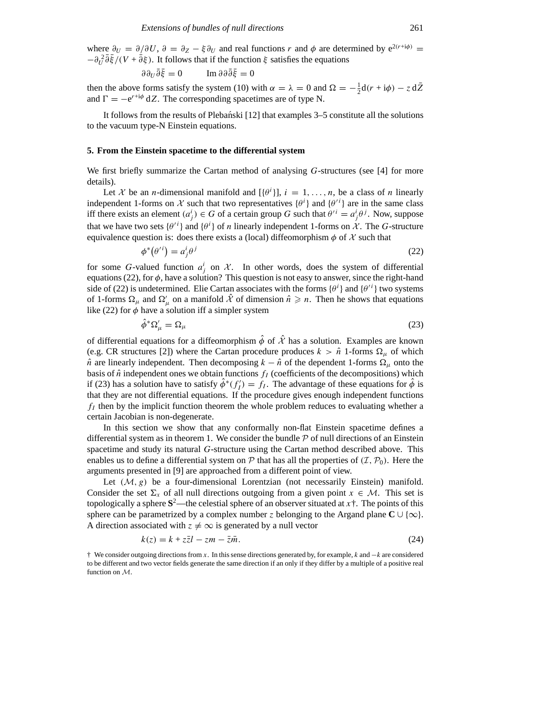where  $\partial_U = \partial/\partial U$ ,  $\partial = \partial_Z - \xi \partial_U$  and real functions *r* and  $\phi$  are determined by  $e^{2(r+i\phi)} =$  $-\partial_U^2 \overline{\partial} \overline{\xi}/(V + \overline{\partial} \xi)$ . It follows that if the function  $\xi$  satisfies the equations

$$
\partial \partial_U \bar{\partial} \bar{\xi} = 0 \qquad \text{Im } \partial \partial \bar{\partial} \bar{\xi} = 0
$$

then the above forms satisfy the system (10) with  $\alpha = \lambda = 0$  and  $\Omega = -\frac{1}{2}d(r + i\phi) - z d\overline{Z}$ and  $\Gamma = -e^{r+i\phi} dZ$ . The corresponding spacetimes are of type N.

It follows from the results of Plebanski  $[12]$  that examples 3–5 constitute all the solutions to the vacuum type-N Einstein equations.

#### **5. From the Einstein spacetime to the differential system**

We first briefly summarize the Cartan method of analysing *G*-structures (see [4] for more details).

Let *X* be an *n*-dimensional manifold and  $[(\theta^i)]$ ,  $i = 1, ..., n$ , be a class of *n* linearly independent 1-forms on  $X$  such that two representatives  $\{\theta^i\}$  and  $\{\theta'^i\}$  are in the same class iff there exists an element  $(a_j^i) \in G$  of a certain group *G* such that  $\theta'^i = a_j^i \theta^j$ . Now, suppose that we have two sets  $\{\theta^{i}\}\$  and  $\{\theta^{i}\}\$  of *n* linearly independent 1-forms on *X*. The *G*-structure equivalence question is: does there exists a (local) diffeomorphism  $\phi$  of  $\chi$  such that

$$
\phi^*(\theta'^i) = a_j^i \theta^j \tag{22}
$$

for some *G*-valued function  $a_j^i$  on  $\mathcal{X}$ . In other words, does the system of differential equations (22), for  $\phi$ , have a solution? This question is not easy to answer, since the right-hand side of (22) is undetermined. Elie Cartan associates with the forms  $\{\theta^i\}$  and  $\{\theta'^i\}$  two systems of 1-forms  $\Omega_{\mu}$  and  $\Omega'_{\mu}$  on a manifold  $\hat{\mathcal{X}}$  of dimension  $\hat{n} \geq n$ . Then he shows that equations like (22) for  $\phi$  have a solution iff a simpler system

$$
\hat{\phi}^* \Omega'_{\mu} = \Omega_{\mu} \tag{23}
$$

of differential equations for a diffeomorphism  $\hat{\phi}$  of  $\hat{\mathcal{X}}$  has a solution. Examples are known (e.g. CR structures [2]) where the Cartan procedure produces  $k > \hat{n}$  1-forms  $\Omega_{\mu}$  of which  $\hat{n}$  are linearly independent. Then decomposing  $k - \hat{n}$  of the dependent 1-forms  $\Omega_{\mu}$  onto the basis of  $\hat{n}$  independent ones we obtain functions  $f_I$  (coefficients of the decompositions) which if (23) has a solution have to satisfy  $\hat{\phi}^*(f'_I) = f_I$ . The advantage of these equations for  $\hat{\phi}$  is that they are not differential equations. If the procedure gives enough independent functions  $f_I$  then by the implicit function theorem the whole problem reduces to evaluating whether a certain Jacobian is non-degenerate.

In this section we show that any conformally non-flat Einstein spacetime defines a differential system as in theorem 1. We consider the bundle  $P$  of null directions of an Einstein spacetime and study its natural *G*-structure using the Cartan method described above. This enables us to define a differential system on  $P$  that has all the properties of  $(I, P_0)$ . Here the arguments presented in [9] are approached from a different point of view.

Let  $(M, g)$  be a four-dimensional Lorentzian (not necessarily Einstein) manifold. Consider the set  $\Sigma_x$  of all null directions outgoing from a given point  $x \in M$ . This set is topologically a sphere  $S^2$ —the celestial sphere of an observer situated at *x*  $\dagger$ . The points of this sphere can be parametrized by a complex number *z* belonging to the Argand plane  $C \cup \{\infty\}$ . A direction associated with  $z \neq \infty$  is generated by a null vector

$$
k(z) = k + z\overline{z}l - zm - \overline{z}\overline{m}.
$$
\n<sup>(24)</sup>

† We consider outgoing directions from *x*. In this sense directions generated by, for example, *k* and −*k* are considered to be different and two vector fields generate the same direction if an only if they differ by a multiple of a positive real function on *M*.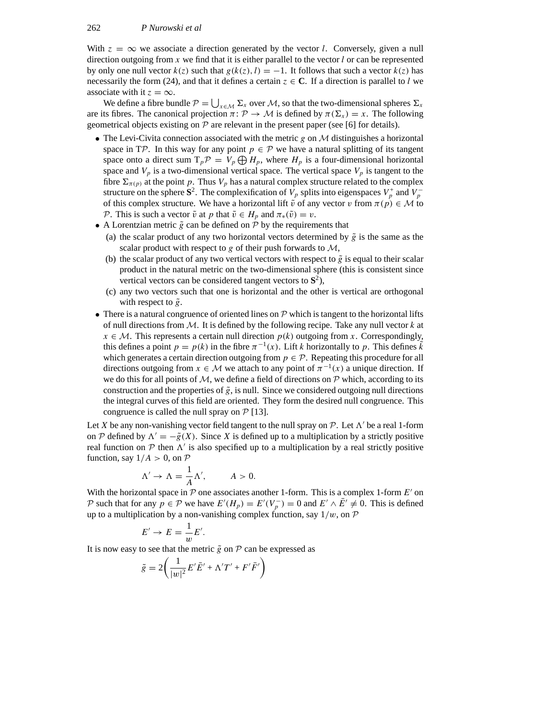With  $z = \infty$  we associate a direction generated by the vector *l*. Conversely, given a null direction outgoing from  $x$  we find that it is either parallel to the vector  $l$  or can be represented by only one null vector  $k(z)$  such that  $g(k(z), l) = -1$ . It follows that such a vector  $k(z)$  has necessarily the form (24), and that it defines a certain  $z \in \mathbb{C}$ . If a direction is parallel to *l* we associate with it  $z = \infty$ .

We define a fibre bundle  $P = \bigcup_{x \in \mathcal{M}} \Sigma_x$  over *M*, so that the two-dimensional spheres  $\Sigma_x$ are its fibres. The canonical projection  $\pi: \mathcal{P} \to \mathcal{M}$  is defined by  $\pi(\Sigma_x) = x$ . The following geometrical objects existing on *P* are relevant in the present paper (see [6] for details).

- The Levi-Civita connection associated with the metric *g* on *M* distinguishes a horizontal space in TP. In this way for any point  $p \in \mathcal{P}$  we have a natural splitting of its tangent space onto a direct sum  $T_p \mathcal{P} = V_p \bigoplus H_p$ , where  $H_p$  is a four-dimensional horizontal space and  $V_p$  is a two-dimensional vertical space. The vertical space  $V_p$  is tangent to the fibre  $\Sigma_{\pi(p)}$  at the point *p*. Thus  $V_p$  has a natural complex structure related to the complex structure on the sphere  $S^2$ . The complexification of  $V_p$  splits into eigenspaces  $V_p^+$  and  $V_p^$ of this complex structure. We have a horizontal lift  $\tilde{v}$  of any vector *v* from  $\pi(p) \in M$  to *P*. This is such a vector  $\tilde{v}$  at *p* that  $\tilde{v} \in H_p$  and  $\pi_*(\tilde{v}) = v$ .
- A Lorentzian metric  $\tilde{g}$  can be defined on  $P$  by the requirements that
	- (a) the scalar product of any two horizontal vectors determined by  $\tilde{g}$  is the same as the scalar product with respect to *g* of their push forwards to *M*,
	- (b) the scalar product of any two vertical vectors with respect to  $\tilde{g}$  is equal to their scalar product in the natural metric on the two-dimensional sphere (this is consistent since vertical vectors can be considered tangent vectors to  $S^2$ ),
	- (c) any two vectors such that one is horizontal and the other is vertical are orthogonal with respect to  $\tilde{g}$ .
- There is a natural congruence of oriented lines on  $P$  which is tangent to the horizontal lifts of null directions from *M*. It is defined by the following recipe. Take any null vector *k* at  $x \in \mathcal{M}$ . This represents a certain null direction  $p(k)$  outgoing from *x*. Correspondingly, this defines a point  $p = p(k)$  in the fibre  $\pi^{-1}(x)$ . Lift *k* horizontally to *p*. This defines  $\tilde{k}$ which generates a certain direction outgoing from  $p \in \mathcal{P}$ . Repeating this procedure for all directions outgoing from  $x \in M$  we attach to any point of  $\pi^{-1}(x)$  a unique direction. If we do this for all points of *M*, we define a field of directions on *P* which, according to its construction and the properties of  $\tilde{g}$ , is null. Since we considered outgoing null directions the integral curves of this field are oriented. They form the desired null congruence. This congruence is called the null spray on *P* [13].

Let X be any non-vanishing vector field tangent to the null spray on  $P$ . Let  $\Lambda'$  be a real 1-form on *P* defined by  $\Lambda' = -\tilde{g}(X)$ . Since *X* is defined up to a multiplication by a strictly positive real function on  $P$  then  $\Lambda'$  is also specified up to a multiplication by a real strictly positive function, say  $1/A > 0$ , on  $P$ 

$$
\Lambda' \to \Lambda = \frac{1}{A} \Lambda', \qquad A > 0.
$$

With the horizontal space in  $P$  one associates another 1-form. This is a complex 1-form  $E'$  on *P* such that for any  $p \in \mathcal{P}$  we have  $E'(H_p) = E'(V_p^-) = 0$  and  $E' \wedge \overline{E}' \neq 0$ . This is defined up to a multiplication by a non-vanishing complex function, say 1*/w*, on *P*

$$
E' \to E = \frac{1}{w} E'.
$$

It is now easy to see that the metric  $\tilde{g}$  on  $P$  can be expressed as

$$
\tilde{g} = 2\left(\frac{1}{|w|^2}E'\overline{E}' + \Delta'T' + F'\overline{F}'\right)
$$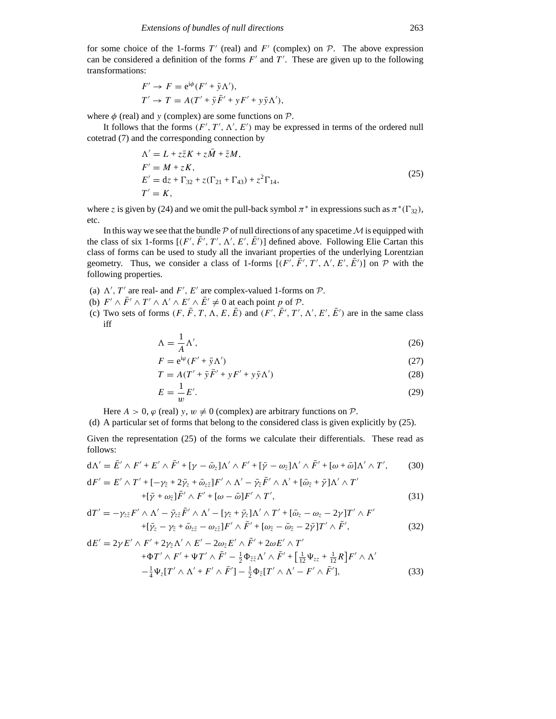for some choice of the 1-forms  $T'$  (real) and  $F'$  (complex) on  $P$ . The above expression can be considered a definition of the forms  $F'$  and  $T'$ . These are given up to the following transformations:

$$
F' \to F = e^{i\phi}(F' + \bar{y}\Lambda'),
$$
  
\n
$$
T' \to T = A(T' + \bar{y}\bar{F}' + yF' + y\bar{y}\Lambda'),
$$

where  $\phi$  (real) and *y* (complex) are some functions on  $\mathcal{P}$ .

It follows that the forms  $(F', T', \Lambda', E')$  may be expressed in terms of the ordered null cotetrad (7) and the corresponding connection by

$$
\begin{aligned}\n\Lambda' &= L + z\bar{z}K + z\bar{M} + \bar{z}M, \\
F' &= M + zK, \\
E' &= dz + \Gamma_{32} + z(\Gamma_{21} + \Gamma_{43}) + z^2\Gamma_{14}, \\
T' &= K,\n\end{aligned} \tag{25}
$$

where *z* is given by (24) and we omit the pull-back symbol  $\pi^*$  in expressions such as  $\pi^*(\Gamma_{32})$ , etc.

In this way we see that the bundle  $P$  of null directions of any spacetime  $M$  is equipped with the class of six 1-forms  $[(F', \overline{F}', T', \Lambda', E', \overline{E}')]$  defined above. Following Elie Cartan this class of forms can be used to study all the invariant properties of the underlying Lorentzian geometry. Thus, we consider a class of 1-forms  $[(F', \overline{F}', T', \Lambda', E', \overline{E}')]$  on  $\mathcal P$  with the following properties.

- (a)  $\Lambda'$ ,  $T'$  are real- and  $F'$ ,  $E'$  are complex-valued 1-forms on  $P$ .
- (b)  $F' \wedge \overline{F}' \wedge T' \wedge \overline{\Lambda}' \wedge E' \wedge \overline{E}' \neq 0$  at each point *p* of *P*.
- (c) Two sets of forms  $(F, \bar{F}, T, \Lambda, E, \bar{E})$  and  $(F', \bar{F}', T', \Lambda', E', \bar{E}')$  are in the same class iff

$$
\Lambda = \frac{1}{A} \Lambda',\tag{26}
$$

$$
F = e^{i\varphi} (F' + \bar{y} \Lambda') \tag{27}
$$

$$
T = A(T' + \bar{y}\bar{F}' + yF' + y\bar{y}\Lambda')
$$
 (28)

$$
E = \frac{1}{w}E'.
$$
\n<sup>(29)</sup>

Here  $A > 0$ ,  $\varphi$  (real)  $y, w \neq 0$  (complex) are arbitrary functions on  $\mathcal{P}$ .

(d) A particular set of forms that belong to the considered class is given explicitly by (25).

Given the representation (25) of the forms we calculate their differentials. These read as follows:

$$
d\Lambda' = \bar{E}' \wedge F' + E' \wedge \bar{F}' + [\gamma - \bar{\omega}_z] \Lambda' \wedge F' + [\bar{\gamma} - \omega_{\bar{z}}] \Lambda' \wedge \bar{F}' + [\omega + \bar{\omega}] \Lambda' \wedge T', \tag{30}
$$

$$
dF' = E' \wedge T' + [-\gamma_{\bar{z}} + 2\bar{\gamma}_z + \bar{\omega}_{z\bar{z}}]F' \wedge \Lambda' - \bar{\gamma}_{\bar{z}}\bar{F}' \wedge \Lambda' + [\bar{\omega}_{\bar{z}} + \bar{\gamma}]\Lambda' \wedge T'
$$
  
+ 
$$
+[\bar{\gamma} + \omega_{\bar{z}}]\bar{F}' \wedge F' + [\omega - \bar{\omega}]F' \wedge T', \qquad (31)
$$

$$
dT' = -\gamma_{z\bar{z}} F' \wedge \Lambda' - \bar{\gamma}_{z\bar{z}} \bar{F}' \wedge \Lambda' - [\gamma_{\bar{z}} + \bar{\gamma}_{z}] \Lambda' \wedge T' + [\bar{\omega}_{z} - \omega_{z} - 2\gamma] T' \wedge F'
$$
  
+
$$
+ [\bar{\gamma}_{z} - \gamma_{\bar{z}} + \bar{\omega}_{z\bar{z}} - \omega_{z\bar{z}}] F' \wedge \bar{F}' + [\omega_{\bar{z}} - \bar{\omega}_{\bar{z}} - 2\bar{\gamma}] T' \wedge \bar{F}', \qquad (32)
$$

$$
dE' = 2\gamma E' \wedge F' + 2\gamma_{\bar{z}}\Lambda' \wedge E' - 2\omega_{\bar{z}}E' \wedge \bar{F}' + 2\omega E' \wedge T'
$$
  
+
$$
\Phi T' \wedge F' + \Psi T' \wedge \bar{F}' - \frac{1}{2}\Phi_{\bar{z}\bar{z}}\Lambda' \wedge \bar{F}' + \left[\frac{1}{12}\Psi_{zz} + \frac{1}{12}R\right]F' \wedge \Lambda'
$$
  
-
$$
-\frac{1}{4}\Psi_{\bar{z}}[T' \wedge \Lambda' + F' \wedge \bar{F}'] - \frac{1}{2}\Phi_{\bar{z}}[T' \wedge \Lambda' - F' \wedge \bar{F}'], \tag{33}
$$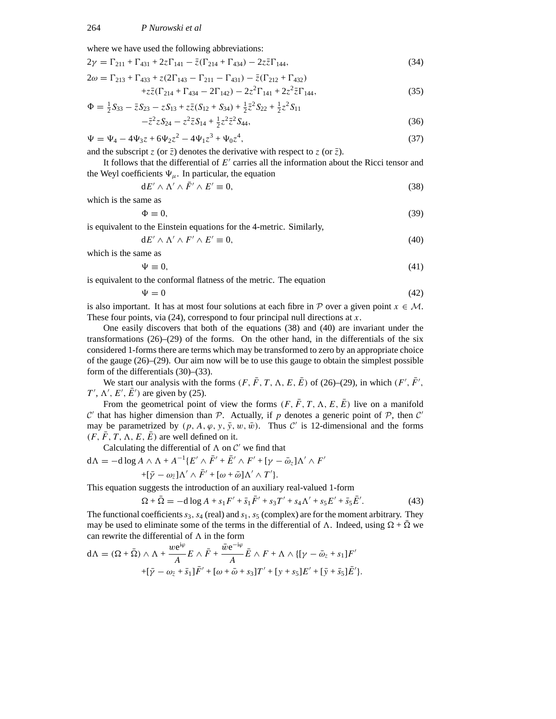where we have used the following abbreviations:

$$
2\gamma = \Gamma_{211} + \Gamma_{431} + 2z\Gamma_{141} - \bar{z}(\Gamma_{214} + \Gamma_{434}) - 2z\bar{z}\Gamma_{144},
$$
  
\n
$$
2\omega = \Gamma_{213} + \Gamma_{433} + z(2\Gamma_{143} - \Gamma_{211} - \Gamma_{431}) - \bar{z}(\Gamma_{212} + \Gamma_{432})
$$
\n(34)

$$
+z\overline{z}(\Gamma_{214} + \Gamma_{434} - 2\Gamma_{142}) - 2z^2\Gamma_{141} + 2z^2\overline{z}\Gamma_{144},
$$
\n(35)

$$
\Phi = \frac{1}{2}S_{33} - \bar{z}S_{23} - zS_{13} + z\bar{z}(S_{12} + S_{34}) + \frac{1}{2}\bar{z}^2S_{22} + \frac{1}{2}z^2S_{11} \n- \bar{z}^2zS_{24} - z^2\bar{z}S_{14} + \frac{1}{2}z^2\bar{z}^2S_{44},
$$
\n(36)

$$
\Psi = \Psi_4 - 4\Psi_3 z + 6\Psi_2 z^2 - 4\Psi_1 z^3 + \Psi_0 z^4, \tag{37}
$$

and the subscript *z* (or  $\bar{z}$ ) denotes the derivative with respect to *z* (or  $\bar{z}$ ).

It follows that the differential of  $E<sup>'</sup>$  carries all the information about the Ricci tensor and the Weyl coefficients  $\Psi_{\mu}$ . In particular, the equation

$$
dE' \wedge \Lambda' \wedge \bar{F}' \wedge E' \equiv 0,\tag{38}
$$

which is the same as

$$
\Phi \equiv 0,\tag{39}
$$

is equivalent to the Einstein equations for the 4-metric. Similarly,

$$
dE' \wedge \Lambda' \wedge F' \wedge E' \equiv 0,\tag{40}
$$

which is the same as

$$
\Psi \equiv 0,\tag{41}
$$

is equivalent to the conformal flatness of the metric. The equation

$$
\Psi = 0 \tag{42}
$$

is also important. It has at most four solutions at each fibre in  $P$  over a given point  $x \in M$ . These four points, via (24), correspond to four principal null directions at *x*.

One easily discovers that both of the equations (38) and (40) are invariant under the transformations  $(26)$ – $(29)$  of the forms. On the other hand, in the differentials of the six considered 1-forms there are terms which may be transformed to zero by an appropriate choice of the gauge  $(26)$ – $(29)$ . Our aim now will be to use this gauge to obtain the simplest possible form of the differentials (30)–(33).

We start our analysis with the forms  $(F, \bar{F}, T, \Lambda, E, \bar{E})$  of (26)–(29), in which  $(F', \bar{F}', \bar{F}')$  $T'$ ,  $\Lambda'$ ,  $E'$ ,  $\overline{E}'$ ) are given by (25).

From the geometrical point of view the forms  $(F, \bar{F}, T, \Lambda, E, \bar{E})$  live on a manifold  $C'$  that has higher dimension than  $P$ . Actually, if *p* denotes a generic point of  $P$ , then  $C'$ may be parametrized by  $(p, A, \varphi, y, \bar{y}, w, \bar{w})$ . Thus *C'* is 12-dimensional and the forms  $(F, F, T, \Lambda, E, E)$  are well defined on it.

Calculating the differential of  $\Lambda$  on  $\mathcal{C}'$  we find that

$$
d\Lambda = -d \log A \wedge \Lambda + A^{-1} \{ E' \wedge \bar{F}' + \bar{E}' \wedge F' + [\gamma - \bar{\omega}_z] \Lambda' \wedge F' + [\bar{\gamma} - \omega_{\bar{z}}] \Lambda' \wedge \bar{F}' + [\omega + \bar{\omega}] \Lambda' \wedge T' \}.
$$

This equation suggests the introduction of an auxiliary real-valued 1-form

$$
\Omega + \bar{\Omega} = -d \log A + s_1 F' + \bar{s}_1 \bar{F}' + s_3 T' + s_4 \Lambda' + s_5 E' + \bar{s}_5 \bar{E}'. \tag{43}
$$

The functional coefficients  $s_3$ ,  $s_4$  (real) and  $s_1$ ,  $s_5$  (complex) are for the moment arbitrary. They may be used to eliminate some of the terms in the differential of  $\Lambda$ . Indeed, using  $\Omega + \Omega$  we can rewrite the differential of  $\Lambda$  in the form

$$
d\Lambda = (\Omega + \bar{\Omega}) \wedge \Lambda + \frac{we^{i\varphi}}{A} E \wedge \bar{F} + \frac{\bar{w}e^{-i\varphi}}{A} \bar{E} \wedge F + \Lambda \wedge \{[\gamma - \bar{\omega}_z + s_1]F' + [\bar{\gamma} - \omega_{\bar{z}} + \bar{s}_1]\bar{F}' + [\omega + \bar{\omega} + s_3]T' + [\gamma + s_5]E' + [\bar{\gamma} + \bar{s}_5]\bar{E}'\}.
$$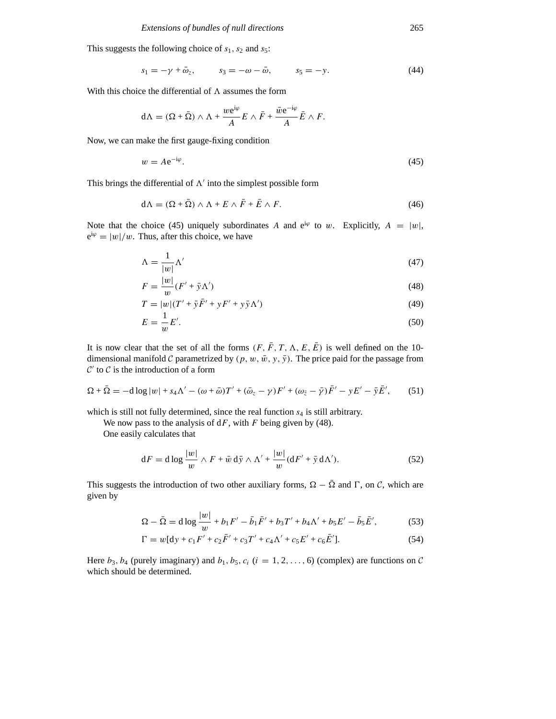This suggests the following choice of  $s_1$ ,  $s_2$  and  $s_5$ :

$$
s_1 = -\gamma + \bar{\omega}_z, \qquad s_3 = -\omega - \bar{\omega}, \qquad s_5 = -y. \tag{44}
$$

With this choice the differential of  $\Lambda$  assumes the form

$$
d\Lambda = (\Omega + \bar{\Omega}) \wedge \Lambda + \frac{we^{i\varphi}}{A} E \wedge \bar{F} + \frac{\bar{w}e^{-i\varphi}}{A} \bar{E} \wedge F.
$$

Now, we can make the first gauge-fixing condition

$$
w = Ae^{-i\varphi}.\tag{45}
$$

This brings the differential of  $\Lambda'$  into the simplest possible form

$$
d\Lambda = (\Omega + \bar{\Omega}) \wedge \Lambda + E \wedge \bar{F} + \bar{E} \wedge F. \tag{46}
$$

Note that the choice (45) uniquely subordinates *A* and  $e^{i\varphi}$  to *w*. Explicitly,  $A = |w|$ ,  $e^{i\varphi} = |w|/w$ . Thus, after this choice, we have

$$
\Lambda = \frac{1}{|w|} \Lambda' \tag{47}
$$

$$
F = \frac{|w|}{w}(F' + \bar{y}\Lambda')\tag{48}
$$

$$
T = |w|(T' + \bar{y}\bar{F}' + yF' + y\bar{y}\Lambda')
$$
\n(49)

$$
E = \frac{1}{w}E'.
$$
\n<sup>(50)</sup>

It is now clear that the set of all the forms  $(F, \bar{F}, T, \Lambda, E, \bar{E})$  is well defined on the 10dimensional manifold *C* parametrized by  $(p, w, \bar{w}, y, \bar{y})$ . The price paid for the passage from  $C'$  to  $C$  is the introduction of a form

$$
\Omega + \bar{\Omega} = -d \log |w| + s_4 \Lambda' - (\omega + \bar{\omega}) T' + (\bar{\omega}_z - \gamma) F' + (\omega_{\bar{z}} - \bar{\gamma}) \bar{F}' - \gamma E' - \bar{\gamma} \bar{E}', \qquad (51)
$$

which is still not fully determined, since the real function  $s_4$  is still arbitrary.

We now pass to the analysis of d*F*, with *F* being given by (48).

One easily calculates that

$$
dF = d \log \frac{|w|}{w} \wedge F + \bar{w} \, d\bar{y} \wedge \Lambda' + \frac{|w|}{w} (dF' + \bar{y} \, d\Lambda'). \tag{52}
$$

This suggests the introduction of two other auxiliary forms,  $\Omega - \overline{\Omega}$  and  $\Gamma$ , on *C*, which are given by

$$
\Omega - \bar{\Omega} = d \log \frac{|w|}{w} + b_1 F' - \bar{b}_1 \bar{F}' + b_3 T' + b_4 \Lambda' + b_5 E' - \bar{b}_5 \bar{E}',\tag{53}
$$

$$
\Gamma = w[dy + c_1 F' + c_2 \bar{F}' + c_3 T' + c_4 \Lambda' + c_5 E' + c_6 \bar{E}'].
$$
\n(54)

Here  $b_3$ ,  $b_4$  (purely imaginary) and  $b_1$ ,  $b_5$ ,  $c_i$  ( $i = 1, 2, ..., 6$ ) (complex) are functions on *C* which should be determined.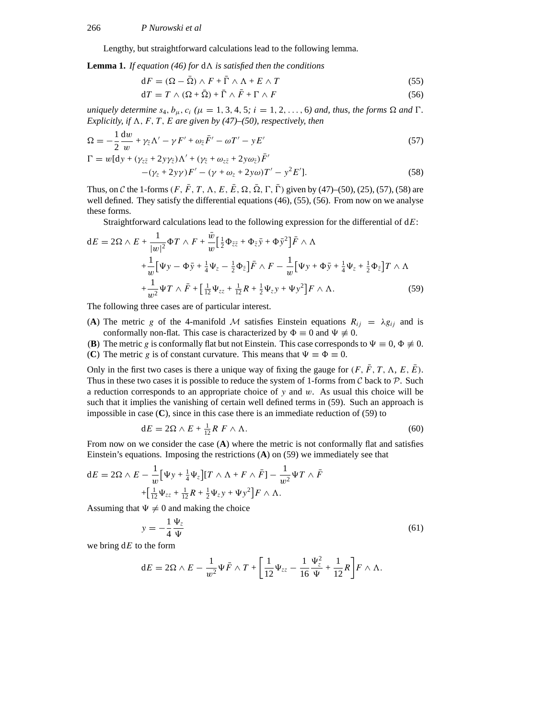Lengthy, but straightforward calculations lead to the following lemma.

**Lemma 1.** *If equation (46) for*  $dA$  *is satisfied then the conditions* 

$$
dF = (\Omega - \bar{\Omega}) \wedge F + \bar{\Gamma} \wedge \Lambda + E \wedge T \tag{55}
$$

$$
dT = T \wedge (\Omega + \bar{\Omega}) + \bar{\Gamma} \wedge \bar{F} + \Gamma \wedge F \tag{56}
$$

*uniquely determine*  $s_4$ ,  $b_\mu$ ,  $c_i$  ( $\mu = 1, 3, 4, 5$ ;  $i = 1, 2, \ldots, 6$ ) and, thus, the forms  $\Omega$  and  $\Gamma$ . *Explicitly, if*  $\Lambda$ *, F, T, E are given by (47)–(50), respectively, then* 

$$
\Omega = -\frac{1}{2}\frac{\mathrm{d}w}{w} + \gamma_{\bar{z}}\Lambda' - \gamma F' + \omega_{\bar{z}}\bar{F}' - \omega T' - yE'
$$
\n(57)

$$
\Gamma = w \left[ dy + (\gamma_{z\bar{z}} + 2y\gamma_{\bar{z}}) \Lambda' + (\gamma_{\bar{z}} + \omega_{z\bar{z}} + 2y\omega_{\bar{z}}) \bar{F}' - (\gamma_{z} + 2y\gamma) F' - (\gamma + \omega_{z} + 2y\omega) T' - y^{2} E' \right].
$$
\n(58)

Thus, on *C* the 1-forms  $(F, \bar{F}, T, \Lambda, E, \bar{E}, \Omega, \bar{\Omega}, \Gamma, \bar{\Gamma})$  given by (47)–(50), (25), (57), (58) are well defined. They satisfy the differential equations (46), (55), (56). From now on we analyse these forms.

Straightforward calculations lead to the following expression for the differential of d*E*:

$$
dE = 2\Omega \wedge E + \frac{1}{|w|^2} \Phi T \wedge F + \frac{\bar{w}}{w} \Big[ \frac{1}{2} \Phi_{\bar{z}\bar{z}} + \Phi_{\bar{z}} \bar{y} + \Phi \bar{y}^2 \Big] \bar{F} \wedge \Lambda + \frac{1}{w} \Big[ \Psi y - \Phi \bar{y} + \frac{1}{4} \Psi_z - \frac{1}{2} \Phi_{\bar{z}} \Big] \bar{F} \wedge F - \frac{1}{w} \Big[ \Psi y + \Phi \bar{y} + \frac{1}{4} \Psi_z + \frac{1}{2} \Phi_{\bar{z}} \Big] T \wedge \Lambda + \frac{1}{w^2} \Psi T \wedge \bar{F} + \Big[ \frac{1}{12} \Psi_{zz} + \frac{1}{12} R + \frac{1}{2} \Psi_{z} y + \Psi y^2 \Big] F \wedge \Lambda.
$$
 (59)

The following three cases are of particular interest.

- (**A**) The metric *g* of the 4-manifold *M* satisfies Einstein equations  $R_{ij} = \lambda g_{ij}$  and is conformally non-flat. This case is characterized by  $\Phi \equiv 0$  and  $\Psi \not\equiv 0$ .
- (**B**) The metric *g* is conformally flat but not Einstein. This case corresponds to  $\Psi \equiv 0$ ,  $\Phi \not\equiv 0$ .
- (**C**) The metric *g* is of constant curvature. This means that  $\Psi \equiv \Phi \equiv 0$ .

Only in the first two cases is there a unique way of fixing the gauge for  $(F, \bar{F}, T, \Lambda, E, \bar{E})$ . Thus in these two cases it is possible to reduce the system of 1-forms from *C* back to *P*. Such a reduction corresponds to an appropriate choice of *y* and *w*. As usual this choice will be such that it implies the vanishing of certain well defined terms in (59). Such an approach is impossible in case (**C**), since in this case there is an immediate reduction of (59) to

$$
dE = 2\Omega \wedge E + \frac{1}{12}R F \wedge \Lambda. \tag{60}
$$

From now on we consider the case (**A**) where the metric is not conformally flat and satisfies Einstein's equations. Imposing the restrictions (**A**) on (59) we immediately see that

$$
dE = 2\Omega \wedge E - \frac{1}{w} \Big[ \Psi y + \frac{1}{4} \Psi_z \Big] [T \wedge \Lambda + F \wedge \bar{F}] - \frac{1}{w^2} \Psi T \wedge \bar{F}
$$
  
+ 
$$
\Big[ \frac{1}{12} \Psi_{zz} + \frac{1}{12} R + \frac{1}{2} \Psi_z y + \Psi y^2 \Big] F \wedge \Lambda.
$$

Assuming that  $\Psi \neq 0$  and making the choice

$$
y = -\frac{1}{4} \frac{\Psi_z}{\Psi} \tag{61}
$$

we bring d*E* to the form

$$
\mathrm{d}E = 2\Omega\wedge E - \frac{1}{w^2}\Psi\bar{F}\wedge T + \left[\frac{1}{12}\Psi_{zz} - \frac{1}{16}\frac{\Psi_z^2}{\Psi} + \frac{1}{12}R\right]F\wedge\Lambda.
$$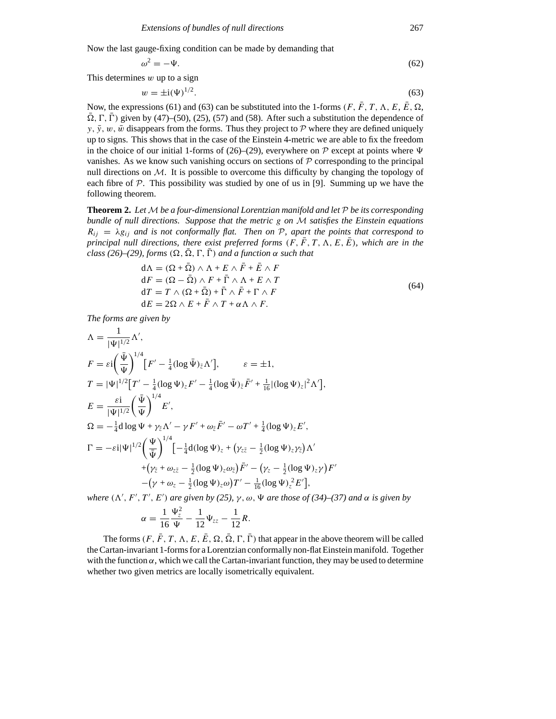Now the last gauge-fixing condition can be made by demanding that

$$
\omega^2 = -\Psi. \tag{62}
$$

This determines *w* up to a sign

$$
w = \pm i(\Psi)^{1/2}.
$$
 (63)

Now, the expressions (61) and (63) can be substituted into the 1-forms  $(F, \bar{F}, T, \Lambda, E, \bar{E}, \Omega,$  $\overline{\Omega}$ ,  $\Gamma$ ,  $\overline{\Gamma}$ ) given by (47)–(50), (25), (57) and (58). After such a substitution the dependence of *y*,  $\bar{y}$ ,  $w$ ,  $\bar{w}$  disappears from the forms. Thus they project to  $\mathcal P$  where they are defined uniquely up to signs. This shows that in the case of the Einstein 4-metric we are able to fix the freedom in the choice of our initial 1-forms of (26)–(29), everywhere on  $P$  except at points where  $\Psi$ vanishes. As we know such vanishing occurs on sections of  $P$  corresponding to the principal null directions on  $M$ . It is possible to overcome this difficulty by changing the topology of each fibre of  $P$ . This possibility was studied by one of us in [9]. Summing up we have the following theorem.

**Theorem 2.** *Let M be a four-dimensional Lorentzian manifold and let P be its corresponding bundle of null directions. Suppose that the metric g on M satisfies the Einstein equations*  $R_{ij} = \lambda g_{ij}$  *and is not conformally flat. Then on P, apart the points that correspond to principal null directions, there exist preferred forms*  $(F, \bar{F}, T, \Lambda, E, \bar{E})$ *, which are in the class (26)–(29), forms*  $(\Omega, \overline{\Omega}, \Gamma, \overline{\Gamma})$  *and a function*  $\alpha$  *such that* 

$$
d\Lambda = (\Omega + \bar{\Omega}) \wedge \Lambda + E \wedge \bar{F} + \bar{E} \wedge F
$$
  
\n
$$
dF = (\Omega - \bar{\Omega}) \wedge F + \bar{\Gamma} \wedge \Lambda + E \wedge T
$$
  
\n
$$
dT = T \wedge (\Omega + \bar{\Omega}) + \bar{\Gamma} \wedge \bar{F} + \Gamma \wedge F
$$
  
\n
$$
dE = 2\Omega \wedge E + \bar{F} \wedge T + \alpha \Lambda \wedge F.
$$
\n(64)

*The forms are given by*

$$
\Lambda = \frac{1}{|\Psi|^{1/2}} \Lambda',
$$
\n
$$
F = \varepsilon i \left( \frac{\bar{\Psi}}{\Psi} \right)^{1/4} \left[ F' - \frac{1}{4} (\log \bar{\Psi})_{\bar{z}} \Lambda' \right], \qquad \varepsilon = \pm 1,
$$
\n
$$
T = |\Psi|^{1/2} \left[ T' - \frac{1}{4} (\log \Psi)_{z} F' - \frac{1}{4} (\log \bar{\Psi})_{\bar{z}} \bar{F}' + \frac{1}{16} |(\log \Psi)_{z}|^{2} \Lambda' \right],
$$
\n
$$
E = \frac{\varepsilon i}{|\Psi|^{1/2}} \left( \frac{\bar{\Psi}}{\Psi} \right)^{1/4} E',
$$
\n
$$
\Omega = -\frac{1}{4} d \log \Psi + \gamma_{\bar{z}} \Lambda' - \gamma F' + \omega_{\bar{z}} \bar{F}' - \omega T' + \frac{1}{4} (\log \Psi)_{z} E',
$$
\n
$$
\Gamma = -\varepsilon i |\Psi|^{1/2} \left( \frac{\Psi}{\bar{\Psi}} \right)^{1/4} \left[ -\frac{1}{4} d (\log \Psi)_{z} + (\gamma_{z\bar{z}} - \frac{1}{2} (\log \Psi)_{z} \gamma_{\bar{z}}) \Lambda' + (\gamma_{\bar{z}} + \omega_{z\bar{z}} - \frac{1}{2} (\log \Psi)_{z} \omega_{\bar{z}}) \bar{F}' - (\gamma_{z} - \frac{1}{2} (\log \Psi)_{z} \gamma) F' - (\gamma_{z} - \frac{1}{2} (\log \Psi)_{z} \omega) T' - \frac{1}{16} (\log \Psi)_{z}^{2} E' \right],
$$

 $\mathbf{w}$ *here*  $(\Lambda', F', T', E')$  *are given by (25),*  $\gamma$ ,  $\omega$ ,  $\Psi$  *are those of (34)–(37) and*  $\alpha$  *is given by* 

$$
\alpha = \frac{1}{16} \frac{\Psi_z^2}{\Psi} - \frac{1}{12} \Psi_{zz} - \frac{1}{12} R.
$$

The forms  $(F, \bar{F}, T, \Lambda, E, \bar{E}, \Omega, \bar{\Omega}, \Gamma, \bar{\Gamma})$  that appear in the above theorem will be called the Cartan-invariant 1-forms for a Lorentzian conformally non-flat Einstein manifold. Together with the function  $\alpha$ , which we call the Cartan-invariant function, they may be used to determine whether two given metrics are locally isometrically equivalent.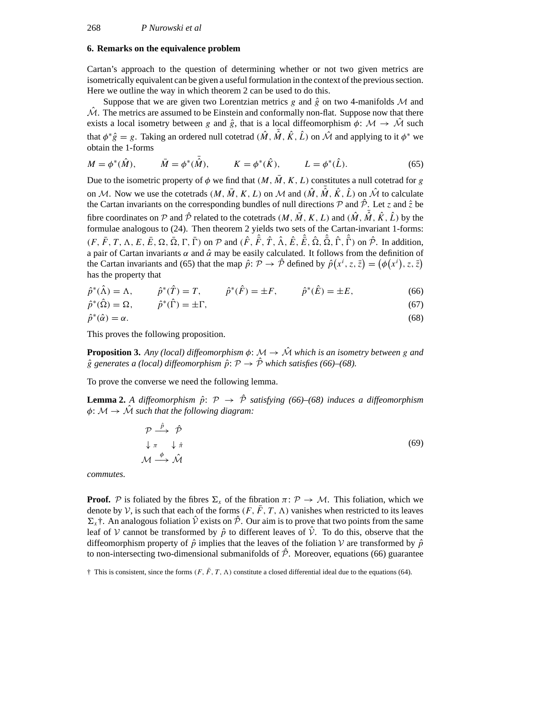# **6. Remarks on the equivalence problem**

Cartan's approach to the question of determining whether or not two given metrics are isometrically equivalent can be given a useful formulation in the context of the previous section. Here we outline the way in which theorem 2 can be used to do this.

Suppose that we are given two Lorentzian metrics *g* and  $\hat{g}$  on two 4-manifolds M and  $\mathcal{M}$ . The metrics are assumed to be Einstein and conformally non-flat. Suppose now that there exists a local isometry between *g* and  $\hat{g}$ , that is a local diffeomorphism  $\phi: \mathcal{M} \to \mathcal{M}$  such that  $\phi^* \hat{g} = g$ . Taking an ordered null cotetrad  $(\hat{M}, \hat{M}, \hat{K}, \hat{L})$  on  $\hat{M}$  and applying to it  $\phi^*$  we obtain the 1-forms

$$
M = \phi^*(\hat{M}), \qquad \bar{M} = \phi^*(\bar{\hat{M}}), \qquad K = \phi^*(\hat{K}), \qquad L = \phi^*(\hat{L}).
$$
 (65)

Due to the isometric property of  $\phi$  we find that  $(M, \overline{M}, K, L)$  constitutes a null cotetrad for *g* on *M*. Now we use the cotetrads  $(M, \bar{M}, K, L)$  on *M* and  $(\hat{M}, \bar{\hat{M}}, \hat{K}, \hat{L})$  on  $\hat{M}$  to calculate the Cartan invariants on the corresponding bundles of null directions  $P$  and  $\hat{P}$ . Let *z* and  $\hat{z}$  be fibre coordinates on  $P$  and  $\hat{P}$  related to the cotetrads  $(M, \overline{M}, K, L)$  and  $(\hat{M}, \overline{\hat{M}}, \hat{K}, \hat{L})$  by the formulae analogous to (24). Then theorem 2 yields two sets of the Cartan-invariant 1-forms:  $(F, \overline{F}, T, \Lambda, E, \overline{E}, \Omega, \overline{\Omega}, \Gamma, \overline{\Gamma})$  on  $P$  and  $(\hat{F}, \hat{\overline{F}}, \hat{T}, \hat{\Lambda}, \hat{E}, \hat{\overline{E}}, \hat{\Omega}, \hat{\overline{\Omega}}, \hat{\Gamma}, \hat{\overline{\Gamma}})$  on  $\hat{\mathcal{P}}$ . In addition, a pair of Cartan invariants *α* and *α*ˆ may be easily calculated. It follows from the definition of the Cartan invariants and (65) that the map  $\hat{p}$ :  $\hat{p} \to \hat{p}$  defined by  $\hat{p}(x^i, z, \bar{z}) = (\phi(x^i), z, \bar{z})$ has the property that

$$
\hat{p}^*(\hat{\Lambda}) = \Lambda, \qquad \hat{p}^*(\hat{T}) = T, \qquad \hat{p}^*(\hat{F}) = \pm F, \qquad \hat{p}^*(\hat{E}) = \pm E,
$$
\n(66)

$$
\hat{p}^*(\hat{\Omega}) = \Omega, \qquad \hat{p}^*(\hat{\Gamma}) = \pm \Gamma, \tag{67}
$$

$$
\hat{p}^*(\hat{\alpha}) = \alpha. \tag{68}
$$

This proves the following proposition.

**Proposition 3.** Any (local) diffeomorphism  $\phi$ :  $\mathcal{M} \rightarrow \hat{\mathcal{M}}$  which is an isometry between g and  $\hat{g}$  generates a (local) diffeomorphism  $\hat{p}$ :  $P \rightarrow \hat{P}$  which satisfies (66)–(68).

To prove the converse we need the following lemma.

**Lemma 2.** A diffeomorphism  $\hat{p}$ :  $\mathcal{P} \rightarrow \hat{\mathcal{P}}$  satisfying (66)–(68) induces a diffeomorphism  $\phi \colon \mathcal{M} \to \hat{\mathcal{M}}$  *such that the following diagram:* 

$$
\mathcal{P} \xrightarrow{\hat{p}} \hat{\mathcal{P}}
$$
  
\n
$$
\downarrow \pi \qquad \downarrow \hat{\pi}
$$
  
\n
$$
\mathcal{M} \xrightarrow{\phi} \hat{\mathcal{M}}
$$
  
\n(69)

*commutes.*

**Proof.** *P* is foliated by the fibres  $\Sigma_x$  of the fibration  $\pi: \mathcal{P} \to \mathcal{M}$ . This foliation, which we denote by *V*, is such that each of the forms  $(F, \bar{F}, T, \Lambda)$  vanishes when restricted to its leaves  $\Sigma_r$ <sup>†</sup>. An analogous foliation  $\hat{V}$  exists on  $\hat{\mathcal{P}}$ . Our aim is to prove that two points from the same leaf of  $V$  cannot be transformed by  $\hat{p}$  to different leaves of  $\hat{V}$ . To do this, observe that the diffeomorphism property of  $\hat{p}$  implies that the leaves of the foliation *V* are transformed by  $\hat{p}$ to non-intersecting two-dimensional submanifolds of  $\hat{\mathcal{P}}$ . Moreover, equations (66) guarantee

 $\dagger$  This is consistent, since the forms  $(F, \bar{F}, T, \Lambda)$  constitute a closed differential ideal due to the equations (64).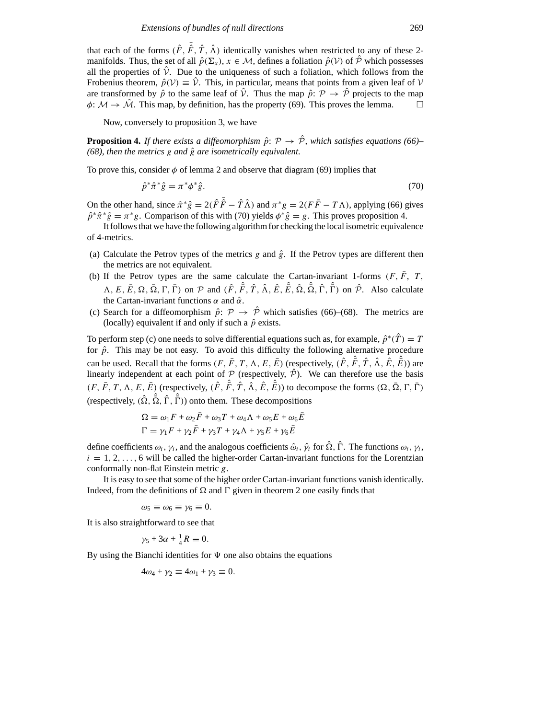that each of the forms  $(\hat{F}, \hat{F}, \hat{T}, \hat{\Lambda})$  identically vanishes when restricted to any of these 2manifolds. Thus, the set of all  $\hat{p}(\Sigma_x)$ ,  $x \in \mathcal{M}$ , defines a foliation  $\hat{p}(V)$  of  $\hat{\mathcal{P}}$  which possesses all the properties of  $\hat{V}$ . Due to the uniqueness of such a foliation, which follows from the Frobenius theorem,  $\hat{p}(V) \equiv \hat{V}$ . This, in particular, means that points from a given leaf of  $V$ are transformed by  $\hat{p}$  to the same leaf of  $\hat{V}$ . Thus the map  $\hat{p}$ :  $\mathcal{P} \to \hat{\mathcal{P}}$  projects to the map  $\phi \colon \mathcal{M} \to \hat{\mathcal{M}}$ . This map, by definition, has the property (69). This proves the lemma.  $\phi: \mathcal{M} \to \hat{\mathcal{M}}$ . This map, by definition, has the property (69). This proves the lemma.

Now, conversely to proposition 3, we have

**Proposition 4.** *If there exists a diffeomorphism*  $\hat{p}$ :  $\mathcal{P} \rightarrow \hat{\mathcal{P}}$ *, which satisfies equations (66)– (68), then the metrics*  $g$  *and*  $\hat{g}$  *are isometrically equivalent.* 

To prove this, consider  $\phi$  of lemma 2 and observe that diagram (69) implies that

$$
\hat{p}^*\hat{\pi}^*\hat{g} = \pi^*\phi^*\hat{g}.\tag{70}
$$

On the other hand, since  $\hat{\pi}^* \hat{g} = 2(\hat{F}\hat{F} - \hat{T}\hat{\Lambda})$  and  $\pi^* g = 2(F\bar{F} - T\Lambda)$ , applying (66) gives  $\hat{p}^* \hat{\pi}^* \hat{g} = \pi^* g$ . Comparison of this with (70) yields  $\phi^* \hat{g} = g$ . This proves proposition 4.

It follows that we have the following algorithm for checking the local isometric equivalence of 4-metrics.

- (a) Calculate the Petrov types of the metrics  $g$  and  $\hat{g}$ . If the Petrov types are different then the metrics are not equivalent.
- (b) If the Petrov types are the same calculate the Cartan-invariant 1-forms  $(F, \bar{F}, T, T)$  $\hat{A}, E, \overline{E}, \Omega, \overline{\Omega}, \Gamma, \overline{\Gamma}$  on  $\mathcal{P}$  and  $(\hat{F}, \hat{F}, \hat{T}, \hat{\Lambda}, \hat{E}, \hat{E}, \hat{\Omega}, \hat{\Omega}, \hat{\Gamma}, \hat{\Gamma})$  on  $\hat{\mathcal{P}}$ . Also calculate the Cartan-invariant functions  $\alpha$  and  $\hat{\alpha}$ .
- (c) Search for a diffeomorphism  $\hat{p}$ :  $\mathcal{P} \rightarrow \hat{\mathcal{P}}$  which satisfies (66)–(68). The metrics are (locally) equivalent if and only if such a  $\hat{p}$  exists.

To perform step (c) one needs to solve differential equations such as, for example,  $\hat{p}^*(\hat{T}) = T$ for  $\hat{p}$ . This may be not easy. To avoid this difficulty the following alternative procedure can be used. Recall that the forms  $(F, \bar{F}, T, \Lambda, E, \bar{E})$  (respectively,  $(\hat{F}, \hat{\bar{F}}, \hat{T}, \hat{\Lambda}, \hat{E}, \hat{\bar{E}})$ ) are linearly independent at each point of  $P$  (respectively,  $\hat{P}$ ). We can therefore use the basis  $(F, \bar{F}, T, \Lambda, E, \bar{E})$  (respectively,  $(\hat{F}, \hat{F}, \hat{T}, \hat{\Lambda}, \hat{E}, \hat{E})$ ) to decompose the forms  $(\Omega, \bar{\Omega}, \Gamma, \bar{\Gamma})$  $(\text{respectively, } (\hat{\Omega}, \hat{\bar{\Omega}}, \hat{\Gamma}, \hat{\bar{\Gamma}}))$  onto them. These decompositions

$$
\Omega = \omega_1 F + \omega_2 \bar{F} + \omega_3 T + \omega_4 \Lambda + \omega_5 E + \omega_6 \bar{E}
$$
  

$$
\Gamma = \gamma_1 F + \gamma_2 \bar{F} + \gamma_3 T + \gamma_4 \Lambda + \gamma_5 E + \gamma_6 \bar{E}
$$

define coefficients  $\omega_i$ ,  $\gamma_i$ , and the analogous coefficients  $\hat{\omega}_i$ ,  $\hat{\gamma}_i$  for  $\hat{\Omega}$ ,  $\hat{\Gamma}$ . The functions  $\omega_i$ ,  $\gamma_i$ ,  $i = 1, 2, \ldots, 6$  will be called the higher-order Cartan-invariant functions for the Lorentzian conformally non-flat Einstein metric *g*.

It is easy to see that some of the higher order Cartan-invariant functions vanish identically. Indeed, from the definitions of  $\Omega$  and  $\Gamma$  given in theorem 2 one easily finds that

 $\omega_5 \equiv \omega_6 \equiv \gamma_6 \equiv 0.$ 

It is also straightforward to see that

$$
\gamma_5 + 3\alpha + \frac{1}{4}R \equiv 0.
$$

By using the Bianchi identities for  $\Psi$  one also obtains the equations

$$
4\omega_4 + \gamma_2 \equiv 4\omega_1 + \gamma_3 \equiv 0.
$$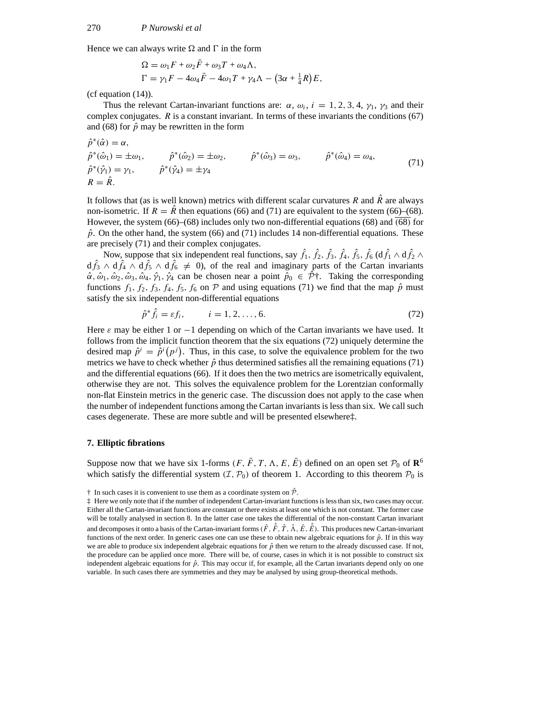Hence we can always write  $\Omega$  and  $\Gamma$  in the form

$$
\Omega = \omega_1 F + \omega_2 \bar{F} + \omega_3 T + \omega_4 \Lambda,
$$
  
\n
$$
\Gamma = \gamma_1 F - 4\omega_4 \bar{F} - 4\omega_1 T + \gamma_4 \Lambda - (3\alpha + \frac{1}{4}R)E,
$$

(cf equation (14)).

Thus the relevant Cartan-invariant functions are:  $\alpha$ ,  $\omega_i$ ,  $i = 1, 2, 3, 4, \gamma_1$ ,  $\gamma_3$  and their complex conjugates. *R* is a constant invariant. In terms of these invariants the conditions (67) and (68) for  $\hat{p}$  may be rewritten in the form

$$
\begin{aligned}\n\hat{p}^*(\hat{\alpha}) &= \alpha, \\
\hat{p}^*(\hat{\omega}_1) &= \pm \omega_1, \\
\hat{p}^*(\hat{\omega}_1) &= \omega_1, \\
\hat{p}^*(\hat{\gamma}_1) &= \gamma_1, \\
\hat{p}^*(\hat{\gamma}_2) &= \pm \omega_2, \\
\hat{p}^*(\hat{\omega}_3) &= \omega_3, \\
\hat{p}^*(\hat{\omega}_4) &= \omega_4, \\
\hat{p}^*(\hat{\gamma}_1) &= \gamma_1, \\
\hat{p}^*(\hat{\gamma}_2) &= \pm \gamma_4\n\end{aligned} \tag{71}
$$

It follows that (as is well known) metrics with different scalar curvatures *R* and  $\hat{R}$  are always non-isometric. If  $R = \overline{R}$  then equations (66) and (71) are equivalent to the system (66)–(68). However, the system (66)–(68) includes only two non-differential equations (68) and *(*68*)* for  $\hat{p}$ . On the other hand, the system (66) and (71) includes 14 non-differential equations. These are precisely (71) and their complex conjugates.

Now, suppose that six independent real functions, say  $\hat{f}_1$ ,  $\hat{f}_2$ ,  $\hat{f}_3$ ,  $\hat{f}_4$ ,  $\hat{f}_5$ ,  $\hat{f}_6$  (d $\hat{f}_1 \wedge d\hat{f}_2 \wedge d\hat{f}_4$  $d\hat{f}_3 \wedge d\hat{f}_4 \wedge d\hat{f}_5 \wedge d\hat{f}_6 \neq 0$ , of the real and imaginary parts of the Cartan invariants  $\hat{\alpha}, \hat{\omega}_1, \hat{\omega}_2, \hat{\omega}_3, \hat{\omega}_4, \hat{\gamma}_1, \hat{\gamma}_4$  can be chosen near a point  $\hat{p}_0 \in \hat{\mathcal{P}}^+$ . Taking the corresponding functions  $f_1$ ,  $f_2$ ,  $f_3$ ,  $f_4$ ,  $f_5$ ,  $f_6$  on  $P$  and using equations (71) we find that the map  $\hat{p}$  must satisfy the six independent non-differential equations

$$
\hat{p}^* \hat{f}_i = \varepsilon f_i, \qquad i = 1, 2, ..., 6. \tag{72}
$$

Here  $\varepsilon$  may be either 1 or  $-1$  depending on which of the Cartan invariants we have used. It follows from the implicit function theorem that the six equations (72) uniquely determine the desired map  $\hat{p}^i = \hat{p}^i(p^j)$ . Thus, in this case, to solve the equivalence problem for the two metrics we have to check whether  $\hat{p}$  thus determined satisfies all the remaining equations (71) and the differential equations (66). If it does then the two metrics are isometrically equivalent, otherwise they are not. This solves the equivalence problem for the Lorentzian conformally non-flat Einstein metrics in the generic case. The discussion does not apply to the case when the number of independent functions among the Cartan invariants is less than six. We call such cases degenerate. These are more subtle and will be presented elsewhere‡.

## **7. Elliptic fibrations**

Suppose now that we have six 1-forms  $(F, \bar{F}, T, \Lambda, E, \bar{E})$  defined on an open set  $\mathcal{P}_0$  of  $\mathbb{R}^6$ which satisfy the differential system  $(\mathcal{I}, \mathcal{P}_0)$  of theorem 1. According to this theorem  $\mathcal{P}_0$  is

<sup>†</sup> In such cases it is convenient to use them as a coordinate system on *<sup>P</sup>*ˆ.

<sup>‡</sup> Here we only note that if the number of independent Cartan-invariant functions is less than six, two cases may occur. Either all the Cartan-invariant functions are constant or there exists at least one which is not constant. The former case will be totally analysed in section 8. In the latter case one takes the differential of the non-constant Cartan invariant and decomposes it onto a basis of the Cartan-invariant forms  $(\hat{F}, \hat{\hat{F}}, \hat{T}, \hat{\Lambda}, \hat{E}, \hat{\hat{E}})$ . This produces new Cartan-invariant functions of the next order. In generic cases one can use these to obtain new algebraic equations for  $\hat{p}$ . If in this way we are able to produce six independent algebraic equations for  $\hat{p}$  then we return to the already discussed case. If not, the procedure can be applied once more. There will be, of course, cases in which it is not possible to construct six independent algebraic equations for  $\hat{p}$ . This may occur if, for example, all the Cartan invariants depend only on one variable. In such cases there are symmetries and they may be analysed by using group-theoretical methods.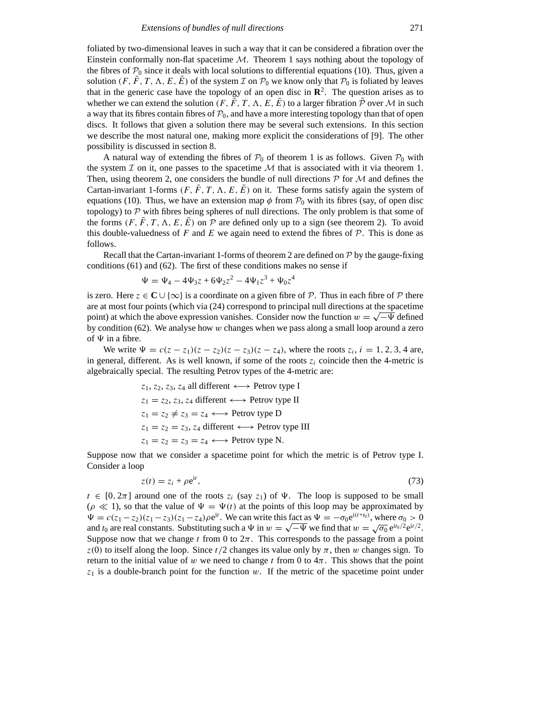foliated by two-dimensional leaves in such a way that it can be considered a fibration over the Einstein conformally non-flat spacetime *M*. Theorem 1 says nothing about the topology of the fibres of  $P_0$  since it deals with local solutions to differential equations (10). Thus, given a solution  $(F, F, T, \Lambda, E, E)$  of the system  $\mathcal I$  on  $\mathcal P_0$  we know only that  $\mathcal P_0$  is foliated by leaves that in the generic case have the topology of an open disc in  $\mathbb{R}^2$ . The question arises as to whether we can extend the solution  $(F, F, T, \Lambda, E, E)$  to a larger fibration  $P$  over  $M$  in such a way that its fibres contain fibres of  $P_0$ , and have a more interesting topology than that of open discs. It follows that given a solution there may be several such extensions. In this section we describe the most natural one, making more explicit the considerations of [9]. The other possibility is discussed in section 8.

A natural way of extending the fibres of  $P_0$  of theorem 1 is as follows. Given  $P_0$  with the system  $I$  on it, one passes to the spacetime  $M$  that is associated with it via theorem 1. Then, using theorem 2, one considers the bundle of null directions *P* for *M* and defines the Cartan-invariant 1-forms  $(F, \bar{F}, T, \Lambda, E, \bar{E})$  on it. These forms satisfy again the system of equations (10). Thus, we have an extension map  $\phi$  from  $P_0$  with its fibres (say, of open disc topology) to  $P$  with fibres being spheres of null directions. The only problem is that some of the forms  $(F, F, T, \Lambda, E, E)$  on P are defined only up to a sign (see theorem 2). To avoid this double-valuedness of  $F$  and  $E$  we again need to extend the fibres of  $\mathcal{P}$ . This is done as follows.

Recall that the Cartan-invariant 1-forms of theorem 2 are defined on *P* by the gauge-fixing conditions (61) and (62). The first of these conditions makes no sense if

$$
\Psi = \Psi_4 - 4\Psi_3 z + 6\Psi_2 z^2 - 4\Psi_1 z^3 + \Psi_0 z^4
$$

is zero. Here  $z \in \mathbb{C} \cup \{ \infty \}$  is a coordinate on a given fibre of *P*. Thus in each fibre of *P* there are at most four points (which via (24) correspond to principal null directions at the spacetime point) at which the above expression vanishes. Consider now the function  $w = \sqrt{-\Psi}$  defined by condition (62). We analyse how *w* changes when we pass along a small loop around a zero of  $\Psi$  in a fibre.

We write  $\Psi = c(z - z_1)(z - z_2)(z - z_3)(z - z_4)$ , where the roots  $z_i$ , *i* = 1, 2, 3, 4 are, in general, different. As is well known, if some of the roots  $z_i$  coincide then the 4-metric is algebraically special. The resulting Petrov types of the 4-metric are:

> *z*1, *z*2, *z*3, *z*<sup>4</sup> all different ←→ Petrov type I  $z_1 = z_2, z_3, z_4$  different  $\longleftrightarrow$  Petrov type II  $z_1 = z_2 \neq z_3 = z_4 \longleftrightarrow$  Petrov type D  $z_1 = z_2 = z_3$ ,  $z_4$  different  $\longleftrightarrow$  Petrov type III  $z_1 = z_2 = z_3 = z_4 \leftrightarrow$  Petrov type N.

Suppose now that we consider a spacetime point for which the metric is of Petrov type I. Consider a loop

$$
z(t) = z_i + \rho e^{it},\tag{73}
$$

 $t \in [0, 2\pi]$  around one of the roots  $z_i$  (say  $z_1$ ) of  $\Psi$ . The loop is supposed to be small  $(\rho \ll 1)$ , so that the value of  $\Psi = \Psi(t)$  at the points of this loop may be approximated by  $\Psi = c(z_1 - z_2)(z_1 - z_3)(z_1 - z_4)\rho e^{it}$ . We can write this fact as  $\Psi = -\sigma_0 e^{i(t+t_0)}$ , where  $\sigma_0 > 0$ and *t*<sub>0</sub> are real constants. Substituting such a  $\Psi$  in  $w = \sqrt{-\Psi}$  we find that  $w = \sqrt{\sigma_0} e^{it_0/2} e^{it/2}$ . Suppose now that we change  $t$  from 0 to  $2\pi$ . This corresponds to the passage from a point  $z(0)$  to itself along the loop. Since  $t/2$  changes its value only by  $\pi$ , then *w* changes sign. To return to the initial value of *w* we need to change *t* from 0 to  $4\pi$ . This shows that the point  $z_1$  is a double-branch point for the function  $w$ . If the metric of the spacetime point under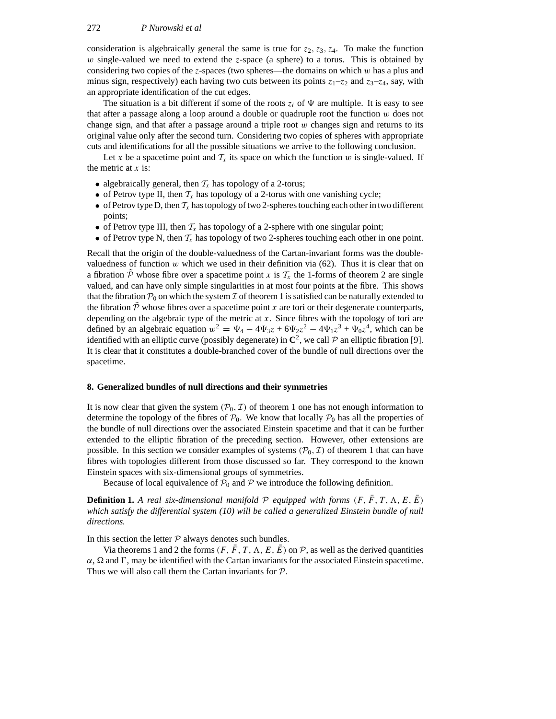consideration is algebraically general the same is true for  $z_2$ ,  $z_3$ ,  $z_4$ . To make the function *w* single-valued we need to extend the *z*-space (a sphere) to a torus. This is obtained by considering two copies of the *z*-spaces (two spheres—the domains on which *w* has a plus and minus sign, respectively) each having two cuts between its points  $z_1$ – $z_2$  and  $z_3$ – $z_4$ , say, with an appropriate identification of the cut edges.

The situation is a bit different if some of the roots  $z_i$  of  $\Psi$  are multiple. It is easy to see that after a passage along a loop around a double or quadruple root the function *w* does not change sign, and that after a passage around a triple root *w* changes sign and returns to its original value only after the second turn. Considering two copies of spheres with appropriate cuts and identifications for all the possible situations we arrive to the following conclusion.

Let *x* be a spacetime point and  $T_x$  its space on which the function *w* is single-valued. If the metric at *x* is:

- algebraically general, then  $T<sub>x</sub>$  has topology of a 2-torus;
- of Petrov type II, then  $T_x$  has topology of a 2-torus with one vanishing cycle;
- of Petrov type D, then  $T_x$  has topology of two 2-spheres touching each other in two different points;
- of Petrov type III, then  $T_x$  has topology of a 2-sphere with one singular point;
- of Petrov type N, then  $T_x$  has topology of two 2-spheres touching each other in one point.

Recall that the origin of the double-valuedness of the Cartan-invariant forms was the doublevaluedness of function  $w$  which we used in their definition via  $(62)$ . Thus it is clear that on a fibration  $\tilde{\mathcal{P}}$  whose fibre over a spacetime point *x* is  $\mathcal{T}_x$  the 1-forms of theorem 2 are single valued, and can have only simple singularities in at most four points at the fibre. This shows that the fibration  $P_0$  on which the system *I* of theorem 1 is satisfied can be naturally extended to the fibration  $P$  whose fibres over a spacetime point  $x$  are tori or their degenerate counterparts, depending on the algebraic type of the metric at *x*. Since fibres with the topology of tori are defined by an algebraic equation  $w^2 = \Psi_4 - 4\Psi_3 z + 6\Psi_2 z^2 - 4\Psi_1 z^3 + \Psi_0 z^4$ , which can be identified with an elliptic curve (possibly degenerate) in  $\mathbb{C}^2$ , we call  $P$  an elliptic fibration [9]. It is clear that it constitutes a double-branched cover of the bundle of null directions over the spacetime.

#### **8. Generalized bundles of null directions and their symmetries**

It is now clear that given the system  $(P_0, \mathcal{I})$  of theorem 1 one has not enough information to determine the topology of the fibres of  $P_0$ . We know that locally  $P_0$  has all the properties of the bundle of null directions over the associated Einstein spacetime and that it can be further extended to the elliptic fibration of the preceding section. However, other extensions are possible. In this section we consider examples of systems  $(\mathcal{P}_0, \mathcal{I})$  of theorem 1 that can have fibres with topologies different from those discussed so far. They correspond to the known Einstein spaces with six-dimensional groups of symmetries.

Because of local equivalence of  $P_0$  and  $P$  we introduce the following definition.

**Definition 1.** A real six-dimensional manifold  $P$  equipped with forms  $(F, \overline{F}, T, \Lambda, E, \overline{E})$ *which satisfy the differential system (10) will be called a generalized Einstein bundle of null directions.*

In this section the letter  $P$  always denotes such bundles.

Via theorems 1 and 2 the forms  $(F, \bar{F}, T, \Lambda, E, \bar{E})$  on  $\mathcal{P}$ , as well as the derived quantities  $\alpha$ ,  $\Omega$  and  $\Gamma$ , may be identified with the Cartan invariants for the associated Einstein spacetime. Thus we will also call them the Cartan invariants for *P*.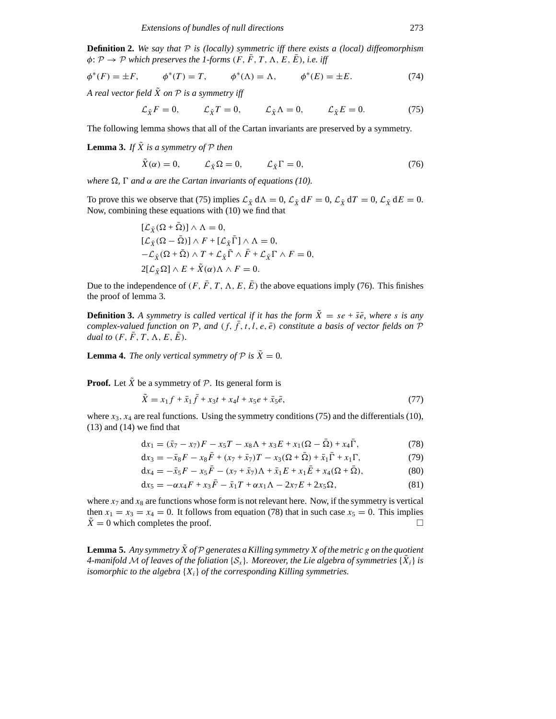**Definition 2.** *We say that P is (locally) symmetric iff there exists a (local) diffeomorphism*  $\phi \colon \mathcal{P} \to \mathcal{P}$  *which preserves the 1-forms*  $(F, \bar{F}, T, \Lambda, E, \bar{E})$ *, i.e. iff* 

$$
\phi^*(F) = \pm F,
$$
  $\phi^*(T) = T,$   $\phi^*(\Lambda) = \Lambda,$   $\phi^*(E) = \pm E.$  (74)

*A real vector field*  $\tilde{X}$  *on*  $P$  *is a symmetry iff* 

$$
\mathcal{L}_{\tilde{X}}F = 0, \qquad \mathcal{L}_{\tilde{X}}T = 0, \qquad \mathcal{L}_{\tilde{X}}\Lambda = 0, \qquad \mathcal{L}_{\tilde{X}}E = 0. \tag{75}
$$

The following lemma shows that all of the Cartan invariants are preserved by a symmetry.

**Lemma 3.** *If*  $\tilde{X}$  *is a symmetry of*  $P$  *then* 

$$
\tilde{X}(\alpha) = 0, \qquad \mathcal{L}_{\tilde{X}}\Omega = 0, \qquad \mathcal{L}_{\tilde{X}}\Gamma = 0, \tag{76}
$$

*where*  $\Omega$ ,  $\Gamma$  *and*  $\alpha$  *are the Cartan invariants of equations (10).* 

To prove this we observe that (75) implies  $\mathcal{L}_{\tilde{X}} d\Lambda = 0$ ,  $\mathcal{L}_{\tilde{X}} dF = 0$ ,  $\mathcal{L}_{\tilde{X}} dT = 0$ ,  $\mathcal{L}_{\tilde{X}} dE = 0$ . Now, combining these equations with (10) we find that

$$
\begin{aligned} [\mathcal{L}_{\tilde{X}}(\Omega + \bar{\Omega})] \wedge \Lambda &= 0, \\ [\mathcal{L}_{\tilde{X}}(\Omega - \bar{\Omega})] \wedge F + [\mathcal{L}_{\tilde{X}}\bar{\Gamma}] \wedge \Lambda &= 0, \\ -\mathcal{L}_{\tilde{X}}(\Omega + \bar{\Omega}) \wedge T + \mathcal{L}_{\tilde{X}}\bar{\Gamma} \wedge \bar{F} + \mathcal{L}_{\tilde{X}}\Gamma \wedge F &= 0, \\ 2[\mathcal{L}_{\tilde{X}}\Omega] \wedge E + \tilde{X}(\alpha) \Lambda \wedge F &= 0. \end{aligned}
$$

Due to the independence of  $(F, \overline{F}, T, \Lambda, E, \overline{E})$  the above equations imply (76). This finishes the proof of lemma 3.

**Definition 3.** A symmetry is called vertical if it has the form  $\tilde{X} = s e + \overline{s} \overline{e}$ , where *s* is any *complex-valued function on*  $P$ *, and*  $(f, \bar{f}, t, l, e, \bar{e})$  *constitute a basis of vector fields on*  $P$ *dual to*  $(F, \overline{F}, T, \Lambda, E, \overline{E})$ .

**Lemma 4.** *The only vertical symmetry of*  $P$  *is*  $\tilde{X} = 0$ *.* 

**Proof.** Let  $\tilde{X}$  be a symmetry of  $\mathcal{P}$ . Its general form is

$$
\tilde{X} = x_1 f + \bar{x}_1 \bar{f} + x_3 t + x_4 l + x_5 e + \bar{x}_5 \bar{e},\tag{77}
$$

where  $x_3$ ,  $x_4$  are real functions. Using the symmetry conditions (75) and the differentials (10),  $(13)$  and  $(14)$  we find that

$$
dx_1 = (\bar{x}_7 - x_7)F - x_5T - x_8\Lambda + x_3E + x_1(\Omega - \bar{\Omega}) + x_4\bar{\Gamma},
$$
\n(78)

$$
dx_3 = -\bar{x}_8 F - x_8 \bar{F} + (x_7 + \bar{x}_7)T - x_3(\Omega + \bar{\Omega}) + \bar{x}_1 \bar{\Gamma} + x_1 \Gamma, \tag{79}
$$

$$
dx_4 = -\bar{x}_5 F - x_5 \bar{F} - (x_7 + \bar{x}_7) \Lambda + \bar{x}_1 E + x_1 \bar{E} + x_4 (\Omega + \bar{\Omega}),
$$
\n(80)

$$
dx_5 = -\alpha x_4 F + x_3 \bar{F} - \bar{x}_1 T + \alpha x_1 \Lambda - 2x_7 E + 2x_5 \Omega,
$$
\n(81)

where  $x_7$  and  $x_8$  are functions whose form is not relevant here. Now, if the symmetry is vertical then  $x_1 = x_3 = x_4 = 0$ . It follows from equation (78) that in such case  $x_5 = 0$ . This implies  $\bar{X} = 0$  which completes the proof.

**Lemma 5.** Any symmetry  $\tilde{X}$  of  $P$  generates a Killing symmetry  $X$  of the metric g on the quotient *4-manifold M* of leaves of the foliation  $\{S_r\}$ *. Moreover, the Lie algebra of symmetries*  $\{X_i\}$  *is isomorphic to the algebra* {*Xi*} *of the corresponding Killing symmetries.*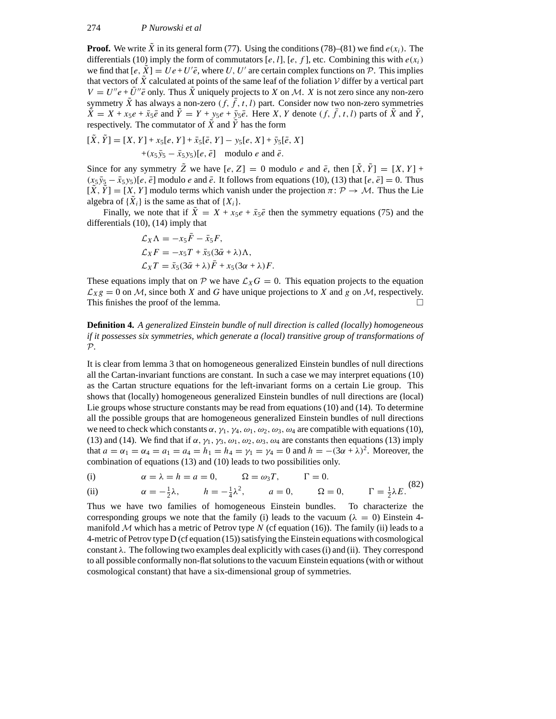**Proof.** We write *X* in its general form (77). Using the conditions (78)–(81) we find  $e(x_i)$ . The differentials (10) imply the form of commutators  $[e, l]$ *,*  $[e, f]$ *,* etc. Combining this with  $e(x_i)$ we find that  $[e, \tilde{X}] = Ue + U'\bar{e}$ , where *U*, *U'* are certain complex functions on  $\tilde{P}$ . This implies that vectors of  $X$  calculated at points of the same leaf of the foliation  $V$  differ by a vertical part  $V = U''e + \overline{U''e}$  only. Thus  $\tilde{X}$  uniquely projects to *X* on *M*. *X* is not zero since any non-zero symmetry *X* has always a non-zero  $(f, f, t, l)$  part. Consider now two non-zero symmetries  $\tilde{X} = X + x_5e + \bar{x}_5\bar{e}$  and  $\tilde{Y} = Y + y_5e + \bar{y}_5\bar{e}$ . Here *X*, *Y* denote  $(f, \bar{f}, t, l)$  parts of  $\tilde{X}$  and  $\tilde{Y}$ , respectively. The commutator of  $\tilde{X}$  and  $\tilde{Y}$  has the form

$$
[\tilde{X}, \tilde{Y}] = [X, Y] + x_5[e, Y] + \bar{x}_5[\bar{e}, Y] - y_5[e, X] + \bar{y}_5[\bar{e}, X] + (x_5\bar{y}_5 - \bar{x}_5y_5)[e, \bar{e}] \text{ modulo } e \text{ and } \bar{e}.
$$

Since for any symmetry  $\tilde{Z}$  we have  $[e, Z] = 0$  modulo *e* and  $\bar{e}$ , then  $[\tilde{X}, \tilde{Y}] = [X, Y] +$  $(x_5\bar{y}_5 - \bar{x}_5y_5)$ [*e*,  $\bar{e}$ ] modulo *e* and  $\bar{e}$ . It follows from equations (10), (13) that [*e*,  $\bar{e}$ ] = 0. Thus  $[\tilde{X}, \tilde{Y}] = [X, Y]$  modulo terms which vanish under the projection  $\pi \colon \mathcal{P} \to \mathcal{M}$ . Thus the Lie algebra of  $\{X_i\}$  is the same as that of  $\{X_i\}$ .

Finally, we note that if  $\tilde{X} = X + x_5e + \bar{x}_5\bar{e}$  then the symmetry equations (75) and the differentials (10), (14) imply that

$$
\mathcal{L}_X \Lambda = -x_5 \bar{F} - \bar{x}_5 F,
$$
  
\n
$$
\mathcal{L}_X F = -x_5 T + \bar{x}_5 (3 \bar{\alpha} + \lambda) \Lambda,
$$
  
\n
$$
\mathcal{L}_X T = \bar{x}_5 (3 \bar{\alpha} + \lambda) \bar{F} + x_5 (3 \alpha + \lambda) F.
$$

These equations imply that on  $P$  we have  $\mathcal{L}_X G = 0$ . This equation projects to the equation  $\mathcal{L}_{X}g = 0$  on *M*, since both *X* and *G* have unique projections to *X* and *g* on *M*, respectively.<br>This finishes the proof of the lemma This finishes the proof of the lemma.

**Definition 4.** *A generalized Einstein bundle of null direction is called (locally) homogeneous if it possesses six symmetries, which generate a (local) transitive group of transformations of P.*

It is clear from lemma 3 that on homogeneous generalized Einstein bundles of null directions all the Cartan-invariant functions are constant. In such a case we may interpret equations (10) as the Cartan structure equations for the left-invariant forms on a certain Lie group. This shows that (locally) homogeneous generalized Einstein bundles of null directions are (local) Lie groups whose structure constants may be read from equations (10) and (14). To determine all the possible groups that are homogeneous generalized Einstein bundles of null directions we need to check which constants  $\alpha$ ,  $\gamma_1$ ,  $\gamma_4$ ,  $\omega_1$ ,  $\omega_2$ ,  $\omega_3$ ,  $\omega_4$  are compatible with equations (10), (13) and (14). We find that if *α, γ*1*, γ*3*, ω*1*, ω*2*, ω*3*, ω*<sup>4</sup> are constants then equations (13) imply that  $a = \alpha_1 = \alpha_4 = a_1 = a_4 = h_1 = h_4 = \gamma_1 = \gamma_4 = 0$  and  $h = -(3\alpha + \lambda)^2$ . Moreover, the combination of equations (13) and (10) leads to two possibilities only.

(i) 
$$
\alpha = \lambda = h = a = 0, \qquad \Omega = \omega_3 T, \qquad \Gamma = 0.
$$

(ii) 
$$
\alpha = -\frac{1}{2}\lambda
$$
,  $h = -\frac{1}{4}\lambda^2$ ,  $a = 0$ ,  $\Omega = 0$ ,  $\Gamma = \frac{1}{2}\lambda E$ . (82)

Thus we have two families of homogeneous Einstein bundles. To characterize the corresponding groups we note that the family (i) leads to the vacuum ( $\lambda = 0$ ) Einstein 4manifold  $M$  which has a metric of Petrov type  $N$  (cf equation (16)). The family (ii) leads to a 4-metric of Petrov type D (cf equation (15)) satisfying the Einstein equations with cosmological constant *λ*. The following two examples deal explicitly with cases (i) and (ii). They correspond to all possible conformally non-flat solutions to the vacuum Einstein equations (with or without cosmological constant) that have a six-dimensional group of symmetries.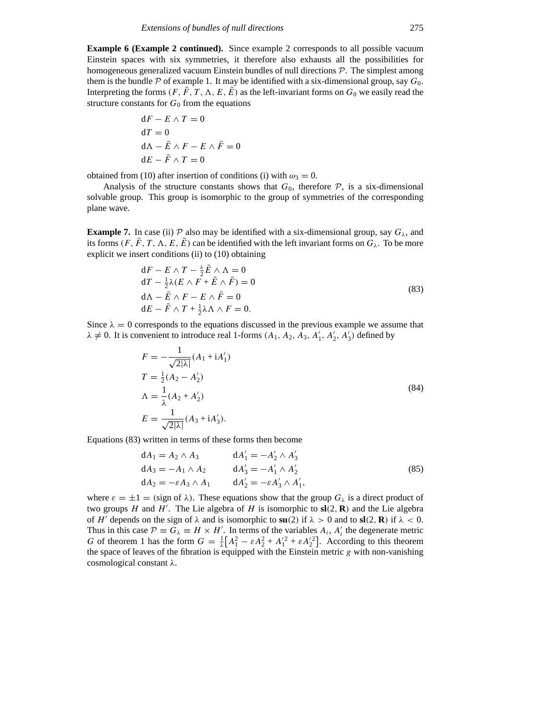**Example 6 (Example 2 continued).** Since example 2 corresponds to all possible vacuum Einstein spaces with six symmetries, it therefore also exhausts all the possibilities for homogeneous generalized vacuum Einstein bundles of null directions *P*. The simplest among them is the bundle  $\mathcal P$  of example 1. It may be identified with a six-dimensional group, say  $G_0$ . Interpreting the forms  $(F, \bar{F}, T, \Lambda, E, \bar{E})$  as the left-invariant forms on  $G_0$  we easily read the structure constants for  $G_0$  from the equations

$$
dF - E \wedge T = 0
$$
  
\n
$$
dT = 0
$$
  
\n
$$
dA - \bar{E} \wedge F - E \wedge \bar{F} = 0
$$
  
\n
$$
dE - \bar{F} \wedge T = 0
$$

obtained from (10) after insertion of conditions (i) with  $\omega_3 = 0$ .

Analysis of the structure constants shows that  $G_0$ , therefore  $P$ , is a six-dimensional solvable group. This group is isomorphic to the group of symmetries of the corresponding plane wave.

**Example 7.** In case (ii)  $P$  also may be identified with a six-dimensional group, say  $G_\lambda$ , and its forms  $(F, F, T, \Lambda, E, E)$  can be identified with the left invariant forms on  $G_\lambda$ . To be more explicit we insert conditions (ii) to (10) obtaining

$$
dF - E \wedge T - \frac{\lambda}{2} \bar{E} \wedge \Lambda = 0
$$
  
\n
$$
dT - \frac{1}{2} \lambda (E \wedge F + \bar{E} \wedge \bar{F}) = 0
$$
  
\n
$$
d\Lambda - \bar{E} \wedge F - E \wedge \bar{F} = 0
$$
  
\n
$$
dE - \bar{F} \wedge T + \frac{1}{2} \lambda \Lambda \wedge F = 0.
$$
\n(83)

Since  $\lambda = 0$  corresponds to the equations discussed in the previous example we assume that  $\lambda \neq 0$ . It is convenient to introduce real 1-forms  $(A_1, A_2, A_3, A'_1, A'_2, A'_3)$  defined by

$$
F = -\frac{1}{\sqrt{2|\lambda|}} (A_1 + iA'_1)
$$
  
\n
$$
T = \frac{1}{2} (A_2 - A'_2)
$$
  
\n
$$
\Lambda = \frac{1}{\lambda} (A_2 + A'_2)
$$
  
\n
$$
E = \frac{1}{\sqrt{2|\lambda|}} (A_3 + iA'_3).
$$
\n(84)

Equations (83) written in terms of these forms then become

$$
dA_1 = A_2 \wedge A_3
$$
  
\n
$$
dA'_1 = -A'_2 \wedge A'_3
$$
  
\n
$$
dA_3 = -A_1 \wedge A_2
$$
  
\n
$$
dA'_3 = -A'_1 \wedge A'_2
$$
  
\n
$$
dA'_2 = -\varepsilon A'_3 \wedge A'_1,
$$
\n(85)

where  $\varepsilon = \pm 1 = (\text{sign of } \lambda)$ . These equations show that the group  $G_{\lambda}$  is a direct product of two groups *H* and *H'*. The Lie algebra of *H* is isomorphic to  $sl(2, R)$  and the Lie algebra of *H'* depends on the sign of  $\lambda$  and is isomorphic to  $\mathbf{su}(2)$  if  $\lambda > 0$  and to  $\mathbf{sl}(2, \mathbf{R})$  if  $\lambda < 0$ . Thus in this case  $\mathcal{P} \equiv G_{\lambda} \equiv H \times H'$ . In terms of the variables  $A_i$ ,  $A'_i$  the degenerate metric *G* of theorem 1 has the form  $G = \frac{1}{\lambda} [A_1^2 - \varepsilon A_2^2 + A_1'^2 + \varepsilon A_2'^2]$ . According to this theorem the space of leaves of the fibration is equipped with the Einstein metric  $g$  with non-vanishing cosmological constant *λ*.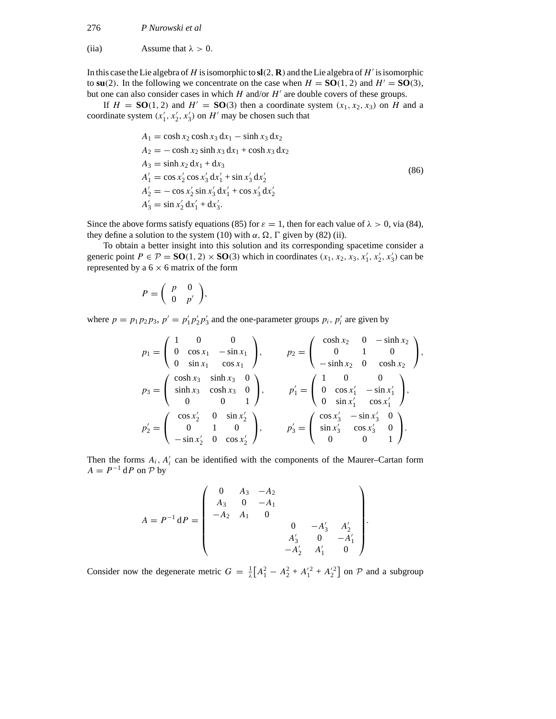(iia) Assume that  $\lambda > 0$ .

In this case the Lie algebra of *H* is isomorphic to  $sl(2, R)$  and the Lie algebra of *H*<sup> $\prime$ </sup> is isomorphic to **su**(2). In the following we concentrate on the case when  $H = SO(1, 2)$  and  $H' = SO(3)$ , but one can also consider cases in which *H* and/or *H'* are double covers of these groups.

If  $H = SO(1, 2)$  and  $H' = SO(3)$  then a coordinate system  $(x_1, x_2, x_3)$  on *H* and a coordinate system  $(x'_1, x'_2, x'_3)$  on  $H'$  may be chosen such that

$$
A_1 = \cosh x_2 \cosh x_3 dx_1 - \sinh x_3 dx_2
$$
  
\n
$$
A_2 = -\cosh x_2 \sinh x_3 dx_1 + \cosh x_3 dx_2
$$
  
\n
$$
A_3 = \sinh x_2 dx_1 + dx_3
$$
  
\n
$$
A'_1 = \cos x'_2 \cos x'_3 dx'_1 + \sin x'_3 dx'_2
$$
  
\n
$$
A'_2 = -\cos x'_2 \sin x'_3 dx'_1 + \cos x'_3 dx'_2
$$
  
\n
$$
A'_3 = \sin x'_2 dx'_1 + dx'_3.
$$
  
\n(86)

Since the above forms satisfy equations (85) for  $\varepsilon = 1$ , then for each value of  $\lambda > 0$ , via (84), they define a solution to the system (10) with  $\alpha$ ,  $\Omega$ ,  $\Gamma$  given by (82) (ii).

To obtain a better insight into this solution and its corresponding spacetime consider a generic point  $P \in \mathcal{P} = SO(1, 2) \times SO(3)$  which in coordinates  $(x_1, x_2, x_3, x'_1, x'_2, x'_3)$  can be represented by a  $6 \times 6$  matrix of the form

$$
P = \left(\begin{array}{cc} p & 0 \\ 0 & p' \end{array}\right),
$$

where  $p = p_1 p_2 p_3$ ,  $p' = p'_1 p'_2 p'_3$  and the one-parameter groups  $p_i$ ,  $p'_i$  are given by

$$
p_1 = \begin{pmatrix} 1 & 0 & 0 \\ 0 & \cos x_1 & -\sin x_1 \\ 0 & \sin x_1 & \cos x_1 \end{pmatrix}, \qquad p_2 = \begin{pmatrix} \cosh x_2 & 0 & -\sinh x_2 \\ 0 & 1 & 0 \\ -\sinh x_2 & 0 & \cosh x_2 \end{pmatrix},
$$
  
\n
$$
p_3 = \begin{pmatrix} \cosh x_3 & \sinh x_3 & 0 \\ \sinh x_3 & \cosh x_3 & 0 \\ 0 & 0 & 1 \end{pmatrix}, \qquad p_1' = \begin{pmatrix} 1 & 0 & 0 \\ 0 & \cos x_1' & -\sin x_1' \\ 0 & \sin x_1' & \cos x_1' \end{pmatrix},
$$
  
\n
$$
p_2' = \begin{pmatrix} \cos x_2' & 0 & \sin x_2' \\ 0 & 1 & 0 \\ -\sin x_2' & 0 & \cos x_2' \end{pmatrix}, \qquad p_3' = \begin{pmatrix} \cos x_3' & -\sin x_3' & 0 \\ \sin x_3' & \cos x_3' & 0 \\ 0 & 0 & 1 \end{pmatrix}.
$$

Then the forms  $A_i$ ,  $A'_i$  can be identified with the components of the Maurer–Cartan form  $A = P^{-1} dP$  on  $P$  by

$$
A = P^{-1} dP = \begin{pmatrix} 0 & A_3 & -A_2 \\ A_3 & 0 & -A_1 \\ -A_2 & A_1 & 0 & & \\ & & 0 & -A'_3 & A'_2 \\ & & & A'_3 & 0 & -A'_1 \\ & & & & -A'_2 & A'_1 & 0 \end{pmatrix}.
$$

Consider now the degenerate metric  $G = \frac{1}{\lambda} [A_1^2 - A_2^2 + A_1'^2 + A_2'^2]$  on  $P$  and a subgroup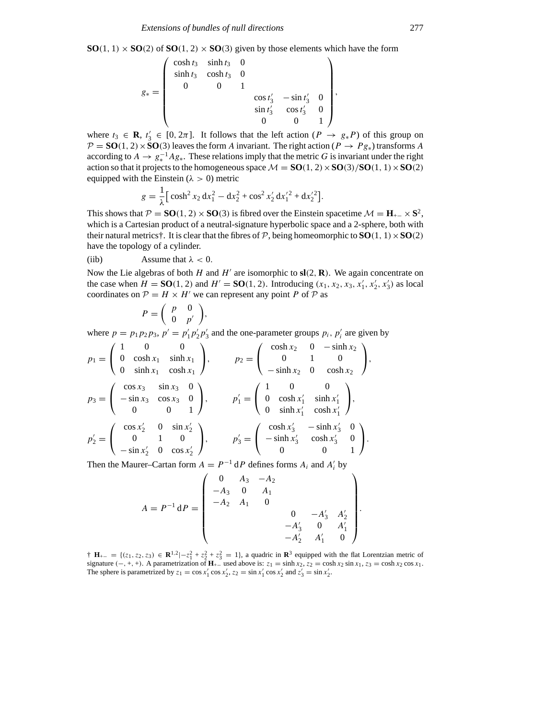**SO**(1, 1)  $\times$  **SO**(2) of **SO**(1, 2)  $\times$  **SO**(3) given by those elements which have the form

$$
g_* = \begin{pmatrix} \cosh t_3 & \sinh t_3 & 0 \\ \sinh t_3 & \cosh t_3 & 0 \\ 0 & 0 & 1 \\ & & \cos t'_3 & -\sin t'_3 & 0 \\ & & & \sin t'_3 & \cos t'_3 & 0 \\ & & & 0 & 0 & 1 \end{pmatrix},
$$

where  $t_3 \in \mathbf{R}$ ,  $t'_3 \in [0, 2\pi]$ . It follows that the left action  $(P \rightarrow g_* P)$  of this group on  $P = SO(1, 2) \times SO(3)$  leaves the form *A* invariant. The right action ( $P \rightarrow P g_*$ ) transforms *A* according to  $A \to g_*^{-1}Ag_*$ . These relations imply that the metric *G* is invariant under the right action so that it projects to the homogeneous space  $M = SO(1, 2) \times SO(3)/SO(1, 1) \times SO(2)$ equipped with the Einstein ( $\lambda > 0$ ) metric

$$
g = \frac{1}{\lambda} \left[ \cosh^2 x_2 \, dx_1^2 - dx_2^2 + \cos^2 x_2' \, dx_1'^2 + dx_2'^2 \right].
$$

This shows that  $\mathcal{P} = \mathbf{SO}(1, 2) \times \mathbf{SO}(3)$  is fibred over the Einstein spacetime  $\mathcal{M} = \mathbf{H}_{+-} \times \mathbf{S}^2$ , which is a Cartesian product of a neutral-signature hyperbolic space and a 2-sphere, both with their natural metrics<sup> $\dagger$ </sup>. It is clear that the fibres of  $P$ , being homeomorphic to  $SO(1, 1) \times SO(2)$ have the topology of a cylinder.

(iib) Assume that 
$$
\lambda < 0
$$
.

Now the Lie algebras of both *H* and *H'* are isomorphic to  $sl(2, R)$ . We again concentrate on the case when  $H = SO(1, 2)$  and  $H' = SO(1, 2)$ . Introducing  $(x_1, x_2, x_3, x'_1, x'_2, x'_3)$  as local coordinates on  $P = H \times H'$  we can represent any point *P* of *P* as

$$
P = \left(\begin{array}{cc} p & 0 \\ 0 & p' \end{array}\right),
$$

where  $p = p_1 p_2 p_3$ ,  $p' = p'_1 p'_2 p'_3$  and the one-parameter groups  $p_i$ ,  $p'_i$  are given by

$$
p_1 = \begin{pmatrix} 1 & 0 & 0 \\ 0 & \cosh x_1 & \sinh x_1 \\ 0 & \sinh x_1 & \cosh x_1 \end{pmatrix}, \qquad p_2 = \begin{pmatrix} \cosh x_2 & 0 & -\sinh x_2 \\ 0 & 1 & 0 \\ -\sinh x_2 & 0 & \cosh x_2 \end{pmatrix},
$$
  
\n
$$
p_3 = \begin{pmatrix} \cos x_3 & \sin x_3 & 0 \\ -\sin x_3 & \cos x_3 & 0 \\ 0 & 0 & 1 \end{pmatrix}, \qquad p'_1 = \begin{pmatrix} 1 & 0 & 0 \\ 0 & \cosh x'_1 & \sinh x'_1 \\ 0 & \sinh x'_1 & \cosh x'_1 \end{pmatrix},
$$
  
\n
$$
p'_2 = \begin{pmatrix} \cos x'_2 & 0 & \sin x'_2 \\ 0 & 1 & 0 \\ -\sin x'_2 & 0 & \cos x'_2 \end{pmatrix}, \qquad p'_3 = \begin{pmatrix} \cosh x'_3 & -\sinh x'_3 & 0 \\ -\sinh x'_3 & \cosh x'_3 & 0 \\ 0 & 0 & 1 \end{pmatrix}.
$$

Then the Maurer–Cartan form  $A = P^{-1} dP$  defines forms  $A_i$  and  $A'_i$  by

$$
A = P^{-1} dP = \begin{pmatrix} 0 & A_3 & -A_2 \\ -A_3 & 0 & A_1 \\ -A_2 & A_1 & 0 & 0 \\ & & 0 & -A'_3 & A'_2 \\ & & & -A'_3 & 0 & A'_1 \\ & & & & -A'_2 & A'_1 & 0 \end{pmatrix}.
$$

† **H**<sub>+−</sub> = {(*z*<sub>1</sub>, *z*<sub>2</sub>, *z*<sub>3</sub>) ∈ **R**<sup>1,2</sup>|−*z*<sub>1</sub><sup>2</sup> + *z*<sub>2</sub><sup>2</sup> + *z*<sub>2</sub><sup>2</sup> = 1}, a quadric in **R**<sup>3</sup> equipped with the flat Lorentzian metric of signature  $(-, +, +)$ . A parametrization of  $\mathbf{H}_{+-}$  used above is:  $z_1 = \sinh x_2$ ,  $z_2 = \cosh x_2 \sin x_1$ ,  $z_3 = \cosh x_2 \cos x_1$ . The sphere is parametrized by  $z_1 = \cos x'_1 \cos x'_2$ ,  $z_2 = \sin x'_1 \cos x'_2$  and  $z'_3 = \sin x'_2$ .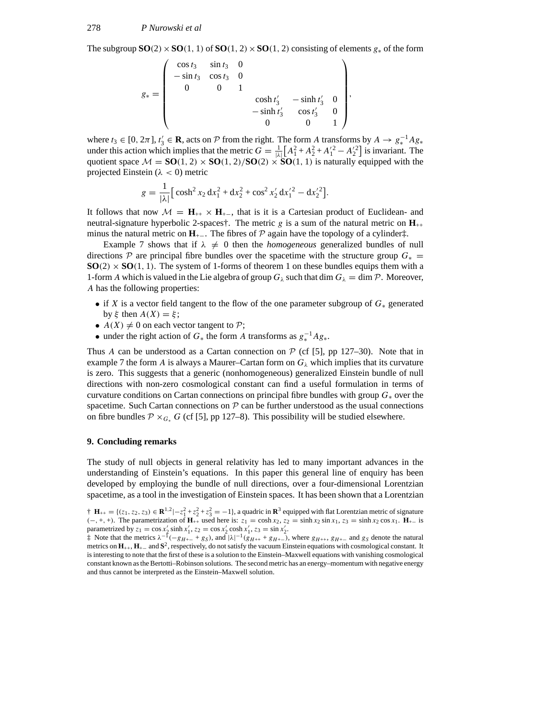The subgroup  $SO(2) \times SO(1, 1)$  of  $SO(1, 2) \times SO(1, 2)$  consisting of elements  $g_*$  of the form

$$
g_* = \begin{pmatrix} \cos t_3 & \sin t_3 & 0 \\ -\sin t_3 & \cos t_3 & 0 \\ 0 & 0 & 1 \\ 0 & 0 & \cosh t'_3 & -\sinh t'_3 & 0 \\ -\sinh t'_3 & \cos t'_3 & 0 \\ 0 & 0 & 1 \end{pmatrix},
$$

where  $t_3 \in [0, 2\pi]$ ,  $t'_3 \in \mathbf{R}$ , acts on  $\mathcal P$  from the right. The form *A* transforms by  $A \to g_*^{-1}Ag_*$ under this action which implies that the metric  $G = \frac{1}{|\lambda|} [A_1^2 + A_2^2 + A_1'^2 - A_2'^2]$  is invariant. The quotient space  $\mathcal{M} = \mathbf{SO}(1, 2) \times \mathbf{SO}(1, 2)/\mathbf{SO}(2) \times \mathbf{SO}(1, 1)$  is naturally equipped with the projected Einstein (*λ <* 0) metric

$$
g = \frac{1}{|\lambda|} \left[ \cosh^2 x_2 \, dx_1^2 + dx_2^2 + \cos^2 x_2' \, dx_1'^2 - dx_2'^2 \right].
$$

It follows that now  $\mathcal{M} = \mathbf{H}_{++} \times \mathbf{H}_{+-}$ , that is it is a Cartesian product of Euclidean- and neutral-signature hyperbolic 2-spaces†. The metric *g* is a sum of the natural metric on  $\mathbf{H}_{++}$ minus the natural metric on  $H_{+}$ . The fibres of  $P$  again have the topology of a cylinder‡.

Example 7 shows that if  $\lambda \neq 0$  then the *homogeneous* generalized bundles of null directions  $\mathcal P$  are principal fibre bundles over the spacetime with the structure group  $G_* =$  $SO(2) \times SO(1, 1)$ . The system of 1-forms of theorem 1 on these bundles equips them with a 1-form *A* which is valued in the Lie algebra of group  $G_\lambda$  such that dim  $G_\lambda = \dim \mathcal{P}$ . Moreover, *A* has the following properties:

- if *X* is a vector field tangent to the flow of the one parameter subgroup of *G*<sup>∗</sup> generated by *ξ* then *A(X)* = *ξ* ;
- $A(X) \neq 0$  on each vector tangent to  $P$ ;
- under the right action of  $G_*$  the form *A* transforms as  $g_*^{-1}Ag_*$ .

Thus *A* can be understood as a Cartan connection on  $P$  (cf [5], pp 127–30). Note that in example 7 the form *A* is always a Maurer–Cartan form on  $G_\lambda$  which implies that its curvature is zero. This suggests that a generic (nonhomogeneous) generalized Einstein bundle of null directions with non-zero cosmological constant can find a useful formulation in terms of curvature conditions on Cartan connections on principal fibre bundles with group *G*<sup>∗</sup> over the spacetime. Such Cartan connections on  $P$  can be further understood as the usual connections on fibre bundles  $\mathcal{P} \times_{G_*} G$  (cf [5], pp 127–8). This possibility will be studied elsewhere.

### **9. Concluding remarks**

The study of null objects in general relativity has led to many important advances in the understanding of Einstein's equations. In this paper this general line of enquiry has been developed by employing the bundle of null directions, over a four-dimensional Lorentzian spacetime, as a tool in the investigation of Einstein spaces. It has been shown that a Lorentzian

<sup>†</sup> **H**<sub>++</sub> = {(*z*<sub>1</sub>, *z*<sub>2</sub>, *z*<sub>3</sub>) ∈ **R**<sup>1,2</sup>|−*z*<sub>1</sub><sup>2</sup> + *z*<sub>2</sub><sup>2</sup> + *z*<sub>3</sub><sup>2</sup> = −1}, a quadric in **R**<sup>3</sup> equipped with flat Lorentzian metric of signature  $(-, +, +)$ . The parametrization of  $\mathbf{H}_{++}$  used here is:  $z_1 = \cosh x_2$ ,  $z_2 = \sinh x_2 \sin x_1$ ,  $z_3 = \sinh x_2 \cos x_1$ .  $\mathbf{H}_{+-}$  is parametrized by  $z_1 = \cos x_2' \sinh x_1', z_2 = \cos x_2' \cosh x_1', z_3 = \sin x_2'.$ 

<sup>&</sup>lt;sup> $\uparrow$ </sup> Note that the metrics  $\lambda^{-1}(-g_{H+-} + g_S)$ , and  $|\lambda|^{-1}(g_{H++} + g_{H+-})$ , where  $g_{H++}$ ,  $g_{H+-}$  and  $g_S$  denote the natural metrics on **H**++, **H**+<sup>−</sup> and **S**2, respectively, do not satisfy the vacuum Einstein equations with cosmological constant. It is interesting to note that the first of these is a solution to the Einstein–Maxwell equations with vanishing cosmological constant known as the Bertotti–Robinson solutions. The second metric has an energy–momentum with negative energy and thus cannot be interpreted as the Einstein–Maxwell solution.